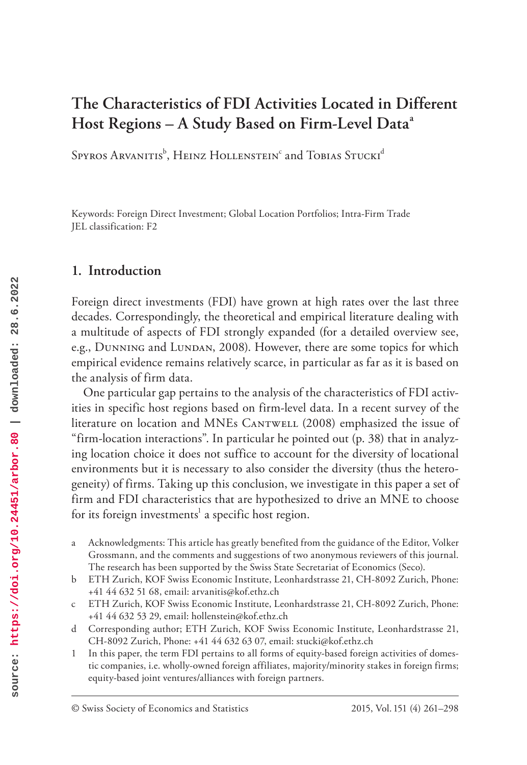# **The Characteristics of FDI Activities Located in Different Host Regions – A Study Based on Firm-Level Data<sup>a</sup>**

Spyros Arvanitis $^{\rm b}$ , Heinz Hollenstein $^{\rm c}$  and Tobias Stucki $^{\rm d}$ 

Keywords: Foreign Direct Investment; Global Location Portfolios; Intra-Firm Trade JEL classification: F2

#### **1. Introduction**

Foreign direct investments (FDI) have grown at high rates over the last three decades. Correspondingly, the theoretical and empirical literature dealing with a multitude of aspects of FDI strongly expanded (for a detailed overview see, e.g., DUNNING and LUNDAN, 2008). However, there are some topics for which empirical evidence remains relatively scarce, in particular as far as it is based on the analysis of firm data.

One particular gap pertains to the analysis of the characteristics of FDI activities in specific host regions based on firm-level data. In a recent survey of the literature on location and MNEs CANTWELL (2008) emphasized the issue of "firm-location interactions". In particular he pointed out (p. 38) that in analyzing location choice it does not suffice to account for the diversity of locational environments but it is necessary to also consider the diversity (thus the heterogeneity) of firms. Taking up this conclusion, we investigate in this paper a set of firm and FDI characteristics that are hypothesized to drive an MNE to choose for its foreign investments $^{\rm l}$  a specific host region.

- a Acknowledgments: This article has greatly benefited from the guidance of the Editor, Volker Grossmann, and the comments and suggestions of two anonymous reviewers of this journal. The research has been supported by the Swiss State Secretariat of Economics (Seco).
- b ETH Zurich, KOF Swiss Economic Institute, Leonhardstrasse 21, CH-8092 Zurich, Phone: +41 44 632 51 68, email: [arvanitis@kof.ethz.ch](mailto:arvanitis@kof.ethz.ch)
- c ETH Zurich, KOF Swiss Economic Institute, Leonhardstrasse 21, CH-8092 Zurich, Phone: +41 44 632 53 29, email: [hollenstein@kof.ethz.ch](mailto:hollenstein@kof.ethz.ch)
- d Corresponding author; ETH Zurich, KOF Swiss Economic Institute, Leonhardstrasse 21, CH-8092 Zurich, Phone: +41 44 632 63 07, email: [stucki@kof.ethz.ch](mailto:stucki@kof.ethz.ch)
- 1 In this paper, the term FDI pertains to all forms of equity-based foreign activities of domestic companies, i.e. wholly-owned foreign affiliates, majority/minority stakes in foreign firms; equity-based joint ventures/alliances with foreign partners.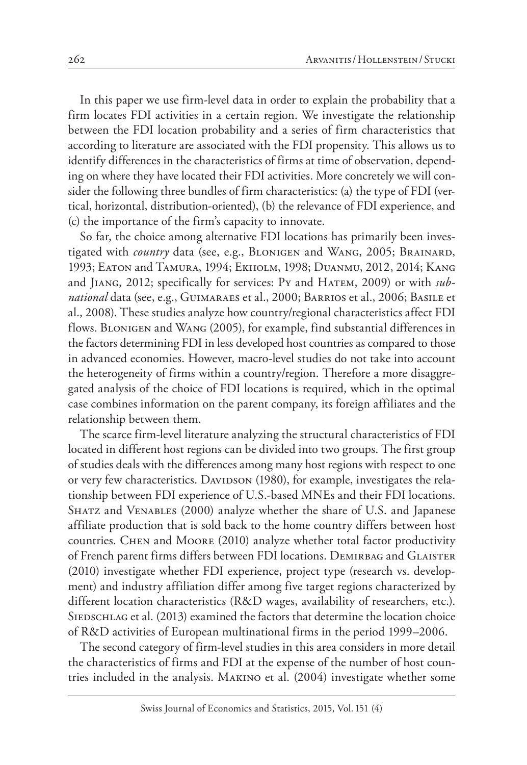In this paper we use firm-level data in order to explain the probability that a firm locates FDI activities in a certain region. We investigate the relationship between the FDI location probability and a series of firm characteristics that according to literature are associated with the FDI propensity. This allows us to identify differences in the characteristics of firms at time of observation, depending on where they have located their FDI activities. More concretely we will consider the following three bundles of firm characteristics: (a) the type of FDI (vertical, horizontal, distribution-oriented), (b) the relevance of FDI experience, and (c) the importance of the firm's capacity to innovate.

So far, the choice among alternative FDI locations has primarily been investigated with *country* data (see, e.g., Blonigen and Wang, 2005; Brainard, 1993; Eaton and Tamura, 1994; Ekholm, 1998; Duanmu, 2012, 2014; Kang and Jiang, 2012; specifically for services: Py and Hatem, 2009) or with *subnational* data (see, e.g., Guimaraes et al., 2000; Barrios et al., 2006; Basile et al., 2008). These studies analyze how country/regional characteristics affect FDI flows. Blonigen and Wang (2005), for example, find substantial differences in the factors determining FDI in less developed host countries as compared to those in advanced economies. However, macro-level studies do not take into account the heterogeneity of firms within a country/region. Therefore a more disaggregated analysis of the choice of FDI locations is required, which in the optimal case combines information on the parent company, its foreign affiliates and the relationship between them.

The scarce firm-level literature analyzing the structural characteristics of FDI located in different host regions can be divided into two groups. The first group of studies deals with the differences among many host regions with respect to one or very few characteristics. DAVIDSON (1980), for example, investigates the relationship between FDI experience of U.S.-based MNEs and their FDI locations. Shatz and Venables (2000) analyze whether the share of U.S. and Japanese affiliate production that is sold back to the home country differs between host countries. Chen and Moore (2010) analyze whether total factor productivity of French parent firms differs between FDI locations. DEMIRBAG and GLAISTER (2010) investigate whether FDI experience, project type (research vs. development) and industry affiliation differ among five target regions characterized by different location characteristics (R&D wages, availability of researchers, etc.). SIEDSCHLAG et al. (2013) examined the factors that determine the location choice of R&D activities of European multinational firms in the period 1999–2006.

The second category of firm-level studies in this area considers in more detail the characteristics of firms and FDI at the expense of the number of host countries included in the analysis. Makino et al. (2004) investigate whether some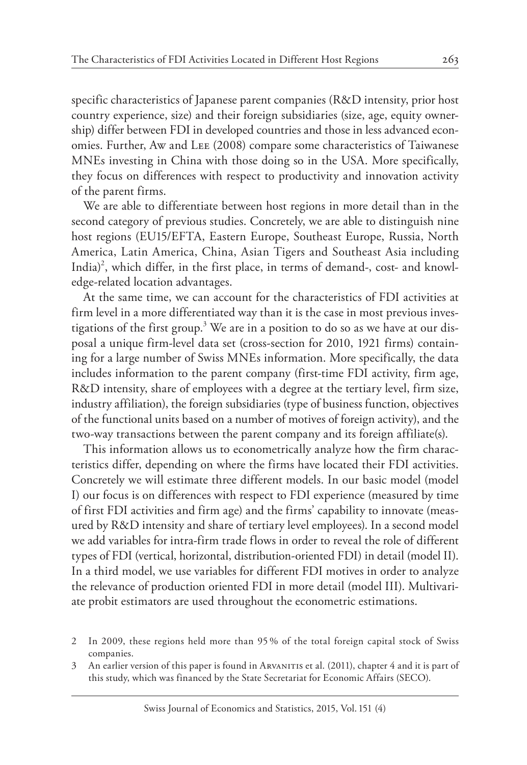specific characteristics of Japanese parent companies (R&D intensity, prior host country experience, size) and their foreign subsidiaries (size, age, equity ownership) differ between FDI in developed countries and those in less advanced economies. Further, Aw and Lee (2008) compare some characteristics of Taiwanese MNEs investing in China with those doing so in the USA. More specifically, they focus on differences with respect to productivity and innovation activity of the parent firms.

We are able to differentiate between host regions in more detail than in the second category of previous studies. Concretely, we are able to distinguish nine host regions (EU15/EFTA, Eastern Europe, Southeast Europe, Russia, North America, Latin America, China, Asian Tigers and Southeast Asia including India)<sup>2</sup>, which differ, in the first place, in terms of demand-, cost- and knowledge-related location advantages.

At the same time, we can account for the characteristics of FDI activities at firm level in a more differentiated way than it is the case in most previous investigations of the first group. 3 We are in a position to do so as we have at our disposal a unique firm-level data set (cross-section for 2010, 1921 firms) containing for a large number of Swiss MNEs information. More specifically, the data includes information to the parent company (first-time FDI activity, firm age, R&D intensity, share of employees with a degree at the tertiary level, firm size, industry affiliation), the foreign subsidiaries (type of business function, objectives of the functional units based on a number of motives of foreign activity), and the two-way transactions between the parent company and its foreign affiliate(s).

This information allows us to econometrically analyze how the firm characteristics differ, depending on where the firms have located their FDI activities. Concretely we will estimate three different models. In our basic model (model I) our focus is on differences with respect to FDI experience (measured by time of first FDI activities and firm age) and the firms' capability to innovate (measured by R&D intensity and share of tertiary level employees). In a second model we add variables for intra-firm trade flows in order to reveal the role of different types of FDI (vertical, horizontal, distribution-oriented FDI) in detail (model II). In a third model, we use variables for different FDI motives in order to analyze the relevance of production oriented FDI in more detail (model III). Multivariate probit estimators are used throughout the econometric estimations.

- 2 In 2009, these regions held more than 95 % of the total foreign capital stock of Swiss companies.
- 3 An earlier version of this paper is found in ARVANITIS et al. (2011), chapter 4 and it is part of this study, which was financed by the State Secretariat for Economic Affairs (SECO).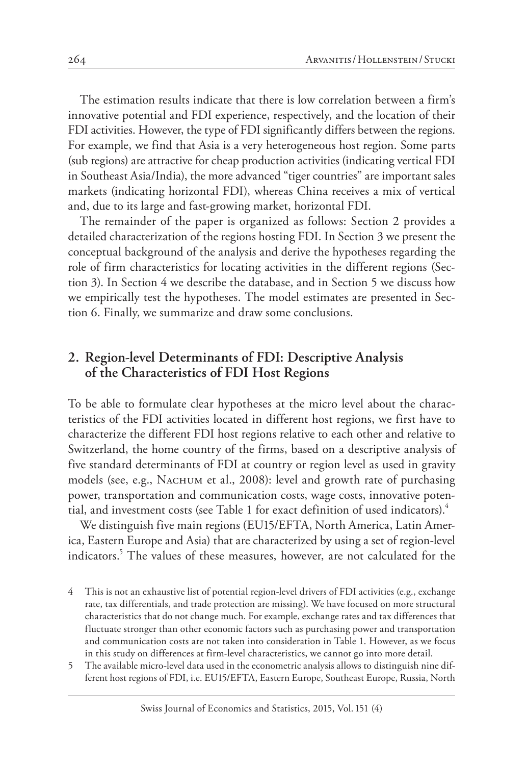The estimation results indicate that there is low correlation between a firm's innovative potential and FDI experience, respectively, and the location of their FDI activities. However, the type of FDI significantly differs between the regions. For example, we find that Asia is a very heterogeneous host region. Some parts (sub regions) are attractive for cheap production activities (indicating vertical FDI in Southeast Asia/India), the more advanced "tiger countries" are important sales markets (indicating horizontal FDI), whereas China receives a mix of vertical and, due to its large and fast-growing market, horizontal FDI.

The remainder of the paper is organized as follows: Section 2 provides a detailed characterization of the regions hosting FDI. In Section 3 we present the conceptual background of the analysis and derive the hypotheses regarding the role of firm characteristics for locating activities in the different regions (Section 3). In Section 4 we describe the database, and in Section 5 we discuss how we empirically test the hypotheses. The model estimates are presented in Section 6. Finally, we summarize and draw some conclusions.

# **2. Region-level Determinants of FDI: Descriptive Analysis of the Characteristics of FDI Host Regions**

To be able to formulate clear hypotheses at the micro level about the characteristics of the FDI activities located in different host regions, we first have to characterize the different FDI host regions relative to each other and relative to Switzerland, the home country of the firms, based on a descriptive analysis of five standard determinants of FDI at country or region level as used in gravity models (see, e.g., NACHUM et al., 2008): level and growth rate of purchasing power, transportation and communication costs, wage costs, innovative potential, and investment costs (see Table 1 for exact definition of used indicators). 4

We distinguish five main regions (EU15/EFTA, North America, Latin America, Eastern Europe and Asia) that are characterized by using a set of region-level indicators. 5 The values of these measures, however, are not calculated for the

- 4 This is not an exhaustive list of potential region-level drivers of FDI activities (e.g., exchange rate, tax differentials, and trade protection are missing). We have focused on more structural characteristics that do not change much. For example, exchange rates and tax differences that fluctuate stronger than other economic factors such as purchasing power and transportation and communication costs are not taken into consideration in Table 1. However, as we focus in this study on differences at firm-level characteristics, we cannot go into more detail.
- 5 The available micro-level data used in the econometric analysis allows to distinguish nine different host regions of FDI, i.e. EU15/EFTA, Eastern Europe, Southeast Europe, Russia, North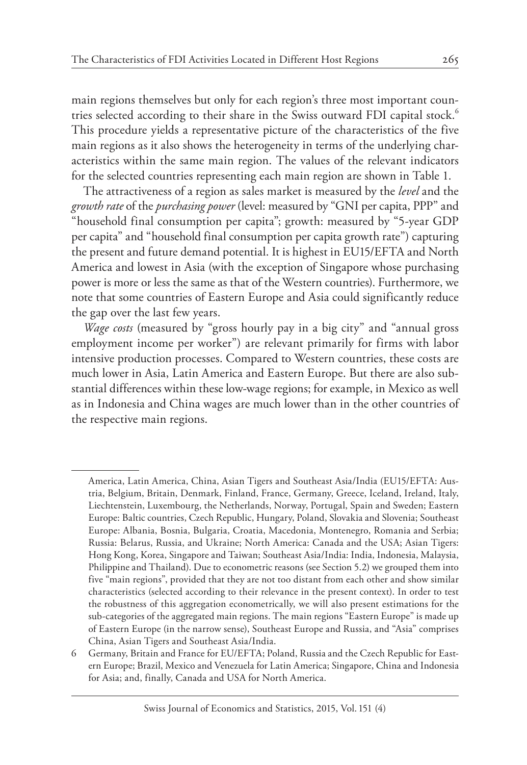main regions themselves but only for each region's three most important countries selected according to their share in the Swiss outward FDI capital stock. 6 This procedure yields a representative picture of the characteristics of the five main regions as it also shows the heterogeneity in terms of the underlying characteristics within the same main region. The values of the relevant indicators for the selected countries representing each main region are shown in Table 1.

The attractiveness of a region as sales market is measured by the *level* and the *growth rate* of the *purchasing power* (level: measured by "GNI per capita, PPP" and "household final consumption per capita"; growth: measured by "5-year GDP per capita" and "household final consumption per capita growth rate") capturing the present and future demand potential. It is highest in EU15/EFTA and North America and lowest in Asia (with the exception of Singapore whose purchasing power is more or less the same as that of the Western countries). Furthermore, we note that some countries of Eastern Europe and Asia could significantly reduce the gap over the last few years.

*Wage costs* (measured by "gross hourly pay in a big city" and "annual gross employment income per worker") are relevant primarily for firms with labor intensive production processes. Compared to Western countries, these costs are much lower in Asia, Latin America and Eastern Europe. But there are also substantial differences within these low-wage regions; for example, in Mexico as well as in Indonesia and China wages are much lower than in the other countries of the respective main regions.

America, Latin America, China, Asian Tigers and Southeast Asia/India (EU15/EFTA: Austria, Belgium, Britain, Denmark, Finland, France, Germany, Greece, Iceland, Ireland, Italy, Liechtenstein, Luxembourg, the Netherlands, Norway, Portugal, Spain and Sweden; Eastern Europe: Baltic countries, Czech Republic, Hungary, Poland, Slovakia and Slovenia; Southeast Europe: Albania, Bosnia, Bulgaria, Croatia, Macedonia, Montenegro, Romania and Serbia; Russia: Belarus, Russia, and Ukraine; North America: Canada and the USA; Asian Tigers: Hong Kong, Korea, Singapore and Taiwan; Southeast Asia/India: India, Indonesia, Malaysia, Philippine and Thailand). Due to econometric reasons (see Section 5.2) we grouped them into five "main regions", provided that they are not too distant from each other and show similar characteristics (selected according to their relevance in the present context). In order to test the robustness of this aggregation econometrically, we will also present estimations for the sub-categories of the aggregated main regions. The main regions "Eastern Europe" is made up of Eastern Europe (in the narrow sense), Southeast Europe and Russia, and "Asia" comprises China, Asian Tigers and Southeast Asia/India.

<sup>6</sup> Germany, Britain and France for EU/EFTA; Poland, Russia and the Czech Republic for Eastern Europe; Brazil, Mexico and Venezuela for Latin America; Singapore, China and Indonesia for Asia; and, finally, Canada and USA for North America.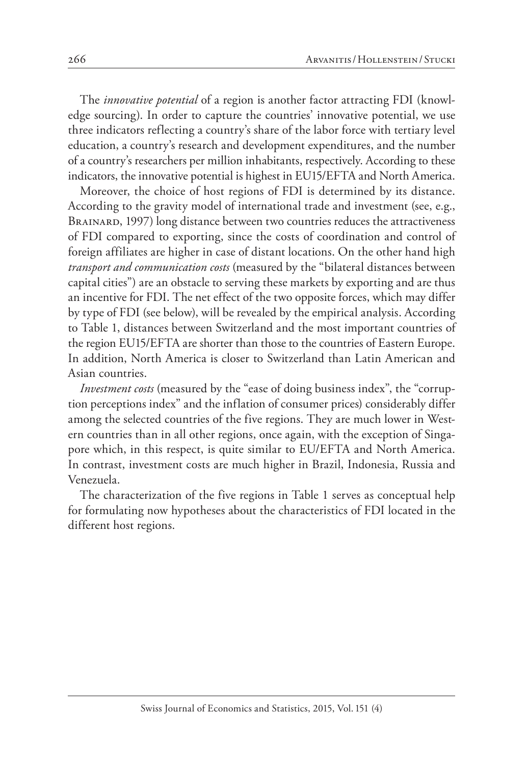The *innovative potential* of a region is another factor attracting FDI (knowledge sourcing). In order to capture the countries' innovative potential, we use three indicators reflecting a country's share of the labor force with tertiary level education, a country's research and development expenditures, and the number of a country's researchers per million inhabitants, respectively. According to these indicators, the innovative potential is highest in EU15/EFTA and North America.

Moreover, the choice of host regions of FDI is determined by its distance. According to the gravity model of international trade and investment (see, e.g., BRAINARD, 1997) long distance between two countries reduces the attractiveness of FDI compared to exporting, since the costs of coordination and control of foreign affiliates are higher in case of distant locations. On the other hand high *transport and communication costs* (measured by the "bilateral distances between capital cities") are an obstacle to serving these markets by exporting and are thus an incentive for FDI. The net effect of the two opposite forces, which may differ by type of FDI (see below), will be revealed by the empirical analysis. According to Table 1, distances between Switzerland and the most important countries of the region EU15/EFTA are shorter than those to the countries of Eastern Europe. In addition, North America is closer to Switzerland than Latin American and Asian countries.

*Investment costs* (measured by the "ease of doing business index", the "corruption perceptions index" and the inflation of consumer prices) considerably differ among the selected countries of the five regions. They are much lower in Western countries than in all other regions, once again, with the exception of Singapore which, in this respect, is quite similar to EU/EFTA and North America. In contrast, investment costs are much higher in Brazil, Indonesia, Russia and Venezuela.

The characterization of the five regions in Table 1 serves as conceptual help for formulating now hypotheses about the characteristics of FDI located in the different host regions.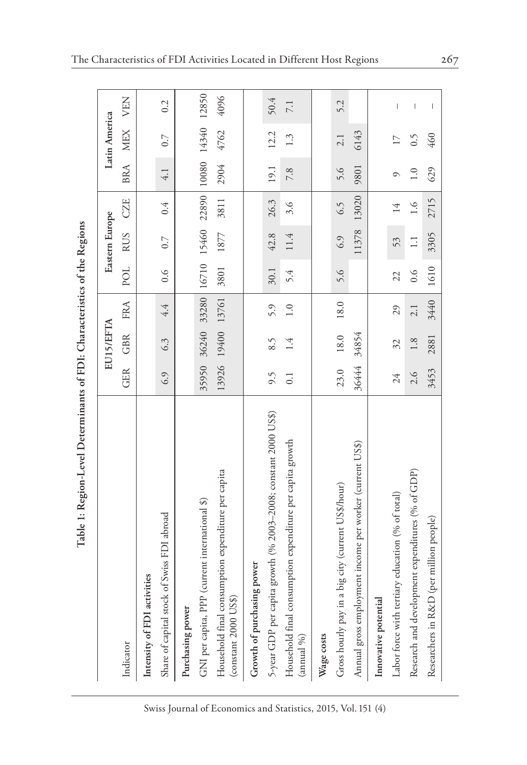| )<br>$+$ + k $\sim$ $ \sim$ $\sim$<br>I                       |
|---------------------------------------------------------------|
| $-2.00$<br>.<br>.<br>.<br>.<br>.<br>.                         |
| ミー・ロー<br>$\vdots$<br><b>CONTRACT &amp; ROOM CONTROL</b><br>j  |
| Í<br>$\frac{1}{2}$<br>l<br>I<br>$\overline{a}$<br>١<br>l<br>l |

|                                                                                                |                  | EU15/EFTA         |                  |      | Eastern Europe   |             |                  | Latin America                                   |                                                                                                                                                                                                                                                                                                                                                                                  |
|------------------------------------------------------------------------------------------------|------------------|-------------------|------------------|------|------------------|-------------|------------------|-------------------------------------------------|----------------------------------------------------------------------------------------------------------------------------------------------------------------------------------------------------------------------------------------------------------------------------------------------------------------------------------------------------------------------------------|
| Indicator                                                                                      | <b>GER</b>       | <b>GBR</b>        | <b>FRA</b>       | POL  | <b>RUS</b>       | <b>CZE</b>  | <b>BRA</b>       | <b>MEX</b>                                      | VEN                                                                                                                                                                                                                                                                                                                                                                              |
| Intensity of FDI activities                                                                    |                  |                   |                  |      |                  |             |                  |                                                 |                                                                                                                                                                                                                                                                                                                                                                                  |
| Share of capital stock of Swiss FDI abroad                                                     | 6.9              | 6.3               | 4.4              | 0.6  | 0.7              | 0.4         | 4.1              | $\overline{0}$ .7                               | 0.2                                                                                                                                                                                                                                                                                                                                                                              |
| Purchasing power                                                                               |                  |                   |                  |      |                  |             |                  |                                                 |                                                                                                                                                                                                                                                                                                                                                                                  |
| GNI per capita, PPP (current international \$)                                                 | 35950            |                   |                  |      |                  |             |                  | 36240 33280 16710 15460 22890 10080 14340 12850 |                                                                                                                                                                                                                                                                                                                                                                                  |
| Household final consumption expenditure per capita<br>(constant 2000 US\$)                     |                  | 13926 19400 13761 |                  | 3801 | 1877             | 3811        | 2904             | 4762                                            | 4096                                                                                                                                                                                                                                                                                                                                                                             |
| Growth of purchasing power                                                                     |                  |                   |                  |      |                  |             |                  |                                                 |                                                                                                                                                                                                                                                                                                                                                                                  |
| 5-year GDP per capita growth (% 2003-2008; constant 2000 US\$)                                 | 9.5              | 8.5               | 5.9              |      | $30.1$ 42.8 26.3 |             | 19.1             | 12.2                                            | 50.4                                                                                                                                                                                                                                                                                                                                                                             |
| Household final consumption expenditure per capita growth<br>$\left(\text{annual } \% \right)$ | $\overline{0}$ . | 1.4               | $\frac{1}{1}$ .0 | 5.4  | 11.4             | 3.6         | 7.8              | 1.3                                             | 7.1                                                                                                                                                                                                                                                                                                                                                                              |
| Wage costs                                                                                     |                  |                   |                  |      |                  |             |                  |                                                 |                                                                                                                                                                                                                                                                                                                                                                                  |
| Gross hourly pay in a big city (current US\$/hour)                                             | 23.0             | 18.0              | 18.0             | 5.6  | 6.9              | 6.5         | 5.6              | 2.1                                             | 5.2                                                                                                                                                                                                                                                                                                                                                                              |
| Annual gross employment income per worker (current US\$)                                       | 36444 34854      |                   |                  |      |                  | 11378 13020 | 9801             | 6143                                            |                                                                                                                                                                                                                                                                                                                                                                                  |
| Innovative potential                                                                           |                  |                   |                  |      |                  |             |                  |                                                 |                                                                                                                                                                                                                                                                                                                                                                                  |
| Labor force with tertiary education (% of total)                                               | 24               | 32                | 29               | 22   | 53               | 14          | c                | $\overline{17}$                                 | $\begin{array}{c} \rule{0pt}{2.5ex} \rule{0pt}{2.5ex} \rule{0pt}{2.5ex} \rule{0pt}{2.5ex} \rule{0pt}{2.5ex} \rule{0pt}{2.5ex} \rule{0pt}{2.5ex} \rule{0pt}{2.5ex} \rule{0pt}{2.5ex} \rule{0pt}{2.5ex} \rule{0pt}{2.5ex} \rule{0pt}{2.5ex} \rule{0pt}{2.5ex} \rule{0pt}{2.5ex} \rule{0pt}{2.5ex} \rule{0pt}{2.5ex} \rule{0pt}{2.5ex} \rule{0pt}{2.5ex} \rule{0pt}{2.5ex} \rule{0$ |
| Research and development expenditures (% of GDP)                                               | 2.6              | 1.8               | 2.1              | 0.6  | $\overline{a}$   | 1.6         | $\overline{1.0}$ | 0.5                                             | $\begin{array}{c} \rule{0pt}{2.5ex} \rule{0pt}{2.5ex} \rule{0pt}{2.5ex} \rule{0pt}{2.5ex} \rule{0pt}{2.5ex} \rule{0pt}{2.5ex} \rule{0pt}{2.5ex} \rule{0pt}{2.5ex} \rule{0pt}{2.5ex} \rule{0pt}{2.5ex} \rule{0pt}{2.5ex} \rule{0pt}{2.5ex} \rule{0pt}{2.5ex} \rule{0pt}{2.5ex} \rule{0pt}{2.5ex} \rule{0pt}{2.5ex} \rule{0pt}{2.5ex} \rule{0pt}{2.5ex} \rule{0pt}{2.5ex} \rule{0$ |
| Researchers in R&D (per million people)                                                        | 3453             | 2881              | 3440             | 1610 | 3305             | 2715        | 629              | 460                                             | $\mid$                                                                                                                                                                                                                                                                                                                                                                           |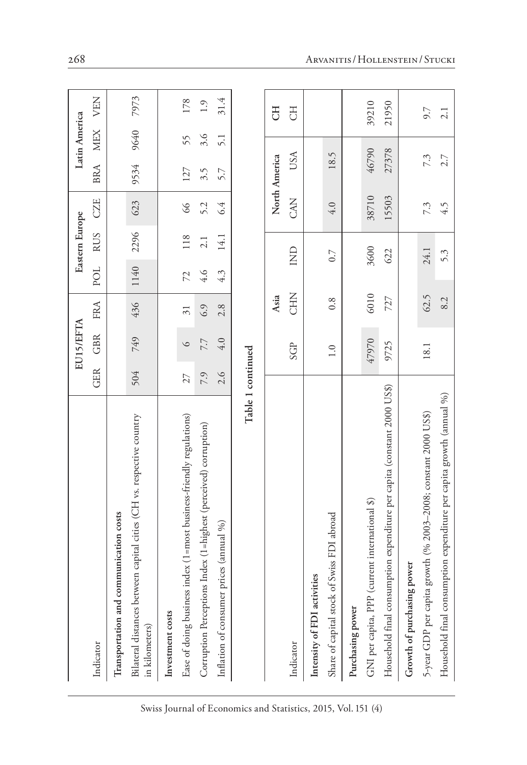|                                                                                         |                   | EU15/EFTA        |                 |      | Eastern Europe   |            |               | Latin America |       |
|-----------------------------------------------------------------------------------------|-------------------|------------------|-----------------|------|------------------|------------|---------------|---------------|-------|
| Indicator                                                                               | <b>GER</b>        | <b>GBR</b>       | <b>FRA</b>      | POL  | <b>RUS</b>       | <b>CZE</b> | <b>BRA</b>    | <b>MEX</b>    | VEN   |
| Transportation and communication costs                                                  |                   |                  |                 |      |                  |            |               |               |       |
| Bilateral distances between capital cities (CH vs. respective country<br>in kilometers) | 504               | 749              | 436             | 1140 | 2296             | 623        | 9534          | 9640          | 7973  |
| Investment costs                                                                        |                   |                  |                 |      |                  |            |               |               |       |
| Ease of doing business index (1=most business-friendly regulations)                     | 27                | $\circ$          | $\overline{31}$ | 72   | 118              | 8          | 127           | 55            | 178   |
| Corruption Perceptions Index (1=highest (perceived) corruption)                         | 7.9               | 7.7              | 6.9             | 4.6  | 2.1              | 5.2        | 3.5           | 3.6           | 1.9   |
| Inflation of consumer prices (annual %)                                                 | 2.6               | 4.0              | 2.8             | 4.3  | 14.1             | 6.4        | 5.7           | 5.1           | 31.4  |
|                                                                                         | Table 1 continued |                  |                 |      |                  |            |               |               |       |
|                                                                                         |                   |                  | Asia            |      |                  |            | North America |               | H     |
| Indicator                                                                               |                   | SGP              | <b>EHD</b>      |      | $\sum_{i=1}^{n}$ | CAN        | USA           |               | FO    |
| Intensity of FDI activities                                                             |                   |                  |                 |      |                  |            |               |               |       |
| Share of capital stock of Swiss FDI abroad                                              |                   | $\overline{1.0}$ | 0.8             |      | $\sim$           | 4.0        | 18.5          |               |       |
| Purchasing power                                                                        |                   |                  |                 |      |                  |            |               |               |       |
| GNI per capita, PPP (current international \$)                                          |                   | 47970            | 6010            |      | 3600             | 38710      | 46790         |               | 39210 |
| Household final consumption expenditure per capita (constant 2000 US\$)                 |                   | 9725             | 727             |      | 622              | 15503      | 27378         |               | 21950 |
| Growth of purchasing power                                                              |                   |                  |                 |      |                  |            |               |               |       |
| 5-year GDP per capita growth (% 2003-2008; constant 2000 US\$)                          |                   | 18.1             | 62.5            |      | 24.1             | 7.3        | 7.3           |               | 9.7   |
| Household final consumption expenditure per capita growth (annual %)                    |                   |                  | 8.2             |      | 5.3              | 4.5        | 2.7           |               | 2.1   |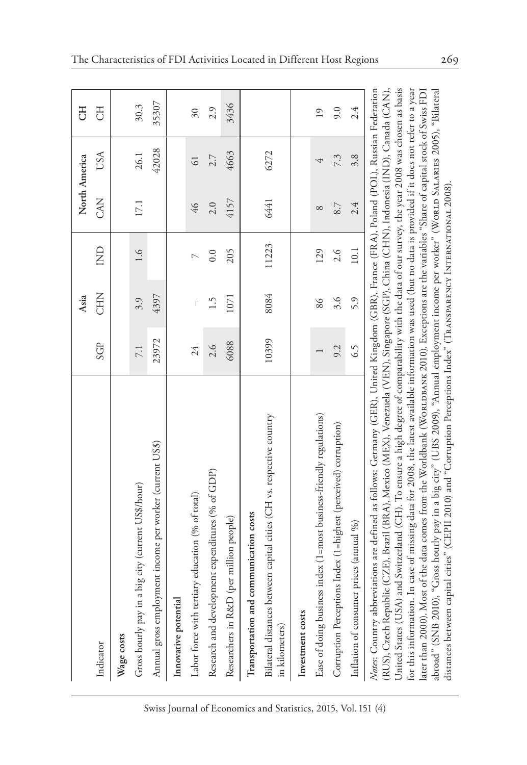|                                                                                                                                                                                                                                                                                                                                                                                                                                                                                                                                                                                                                                                                                                                                                                                                                                                                                                                                                                                                                            |       | Asia       |                  | North America |                 | E               |
|----------------------------------------------------------------------------------------------------------------------------------------------------------------------------------------------------------------------------------------------------------------------------------------------------------------------------------------------------------------------------------------------------------------------------------------------------------------------------------------------------------------------------------------------------------------------------------------------------------------------------------------------------------------------------------------------------------------------------------------------------------------------------------------------------------------------------------------------------------------------------------------------------------------------------------------------------------------------------------------------------------------------------|-------|------------|------------------|---------------|-----------------|-----------------|
| Indicator                                                                                                                                                                                                                                                                                                                                                                                                                                                                                                                                                                                                                                                                                                                                                                                                                                                                                                                                                                                                                  | SGP   | <b>CHN</b> | $\sum_{i=1}^{n}$ | <b>CAN</b>    | USA             | H               |
| Wage costs                                                                                                                                                                                                                                                                                                                                                                                                                                                                                                                                                                                                                                                                                                                                                                                                                                                                                                                                                                                                                 |       |            |                  |               |                 |                 |
| Gross hourly pay in a big city (current US\$/hour)                                                                                                                                                                                                                                                                                                                                                                                                                                                                                                                                                                                                                                                                                                                                                                                                                                                                                                                                                                         | 7.1   | 3.9        | $\ddot{0}$       | 17.1          | 26.1            | 30.3            |
| Annual gross employment income per worker (current US\$)                                                                                                                                                                                                                                                                                                                                                                                                                                                                                                                                                                                                                                                                                                                                                                                                                                                                                                                                                                   | 23972 | 4397       |                  |               | 42028           | 35307           |
| Innovative potential                                                                                                                                                                                                                                                                                                                                                                                                                                                                                                                                                                                                                                                                                                                                                                                                                                                                                                                                                                                                       |       |            |                  |               |                 |                 |
| Labor force with tertiary education (% of total)                                                                                                                                                                                                                                                                                                                                                                                                                                                                                                                                                                                                                                                                                                                                                                                                                                                                                                                                                                           | 24    | Ĭ.         |                  | 46            | $\overline{61}$ | $\overline{30}$ |
| Research and development expenditures (% of GDP)                                                                                                                                                                                                                                                                                                                                                                                                                                                                                                                                                                                                                                                                                                                                                                                                                                                                                                                                                                           | 2.6   | 1.5        | 0.0              | 2.0           | 2.7             | 2.9             |
| Researchers in R&D (per million people)                                                                                                                                                                                                                                                                                                                                                                                                                                                                                                                                                                                                                                                                                                                                                                                                                                                                                                                                                                                    | 6088  | 1071       | 205              | 4157          | 4663            | 3436            |
| Transportation and communication costs                                                                                                                                                                                                                                                                                                                                                                                                                                                                                                                                                                                                                                                                                                                                                                                                                                                                                                                                                                                     |       |            |                  |               |                 |                 |
| Bilateral distances between capital cities (CH vs. respective country<br>in kilometers)                                                                                                                                                                                                                                                                                                                                                                                                                                                                                                                                                                                                                                                                                                                                                                                                                                                                                                                                    | 10399 | 8084       | 11223            | 6441          | 6272            |                 |
| Investment costs                                                                                                                                                                                                                                                                                                                                                                                                                                                                                                                                                                                                                                                                                                                                                                                                                                                                                                                                                                                                           |       |            |                  |               |                 |                 |
| Ease of doing business index (1=most business-friendly regulations)                                                                                                                                                                                                                                                                                                                                                                                                                                                                                                                                                                                                                                                                                                                                                                                                                                                                                                                                                        |       | 86         | 129              | $\infty$      | 4               | $\overline{19}$ |
| Corruption Perceptions Index (1=highest (perceived) corruption)                                                                                                                                                                                                                                                                                                                                                                                                                                                                                                                                                                                                                                                                                                                                                                                                                                                                                                                                                            | 9.2   | 3.6        | 2.6              | 8.7           | 7.3             | 9.0             |
| Inflation of consumer prices (annual %)                                                                                                                                                                                                                                                                                                                                                                                                                                                                                                                                                                                                                                                                                                                                                                                                                                                                                                                                                                                    | 6.5   | 5.9        | 10.1             | 2.4           | 3.8             | 2.4             |
| United States (USA) and Switzerland (CH). To ensure a high degree of comparability with the data of our survey, the year 2008 was chosen as basis<br>Notes: Country abbreviations are defined as follows: Germany (GER), United Kingdom (GBR), France (FRA), Poland (POL), Russian Federation<br>for this information. In case of missing data for 2008, the latest available information was used (but no data is provided if it does not refer to a year<br>later than 2000). Most of the data comes from the Worldbank (WoRLDBANK 2010). Exceptions are the variables "Share of capital stock of Swiss FDI<br>abroad" (SNB 2010), "Gross hourly pay in a big city" (UBS 2009), "Annual employment income per worker" (WORLD SALARIES 2005), "Bilateral<br>RUS), Czech Republic (CZE), Brazil (BRA), Mexico (MEX), Venezuela (VEN), Singapore (SGP), China (CHN), Indonesia (IND), Canada (CAN),<br>distances between capital cities" (CEPII 2010) and "Corruption Perceptions Index" (TRANSPARENCY INTERNATIONAL 2008). |       |            |                  |               |                 |                 |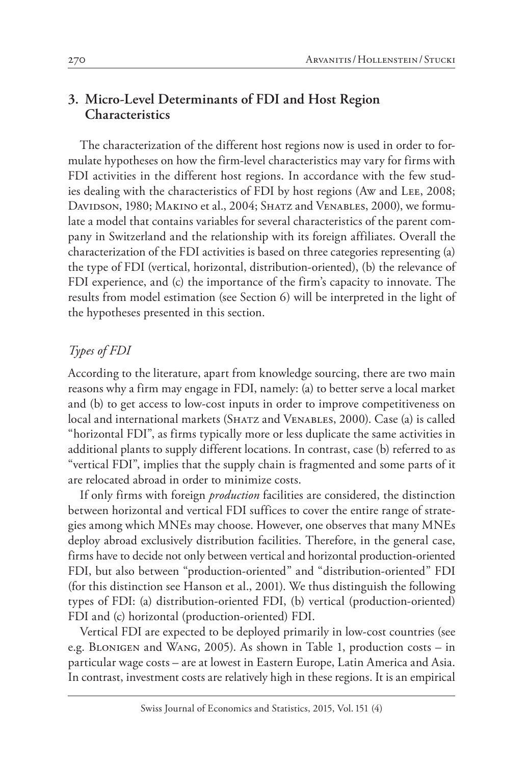## **3. Micro-Level Determinants of FDI and Host Region Characteristics**

The characterization of the different host regions now is used in order to formulate hypotheses on how the firm-level characteristics may vary for firms with FDI activities in the different host regions. In accordance with the few studies dealing with the characteristics of FDI by host regions (Aw and Lee, 2008; DAVIDSON, 1980; MAKINO et al., 2004; SHATZ and VENABLES, 2000), we formulate a model that contains variables for several characteristics of the parent company in Switzerland and the relationship with its foreign affiliates. Overall the characterization of the FDI activities is based on three categories representing (a) the type of FDI (vertical, horizontal, distribution-oriented), (b) the relevance of FDI experience, and (c) the importance of the firm's capacity to innovate. The results from model estimation (see Section 6) will be interpreted in the light of the hypotheses presented in this section.

## *Types of FDI*

According to the literature, apart from knowledge sourcing, there are two main reasons why a firm may engage in FDI, namely: (a) to better serve a local market and (b) to get access to low-cost inputs in order to improve competitiveness on local and international markets (SHATZ and VENABLES, 2000). Case (a) is called "horizontal FDI", as firms typically more or less duplicate the same activities in additional plants to supply different locations. In contrast, case (b) referred to as "vertical FDI", implies that the supply chain is fragmented and some parts of it are relocated abroad in order to minimize costs.

If only firms with foreign *production* facilities are considered, the distinction between horizontal and vertical FDI suffices to cover the entire range of strategies among which MNEs may choose. However, one observes that many MNEs deploy abroad exclusively distribution facilities. Therefore, in the general case, firms have to decide not only between vertical and horizontal production-oriented FDI, but also between "production-oriented" and "distribution-oriented" FDI (for this distinction see Hanson et al., 2001). We thus distinguish the following types of FDI: (a) distribution-oriented FDI, (b) vertical (production-oriented) FDI and (c) horizontal (production-oriented) FDI.

Vertical FDI are expected to be deployed primarily in low-cost countries (see e.g. Blonigen and Wang, 2005). As shown in Table 1, production costs – in particular wage costs – are at lowest in Eastern Europe, Latin America and Asia. In contrast, investment costs are relatively high in these regions. It is an empirical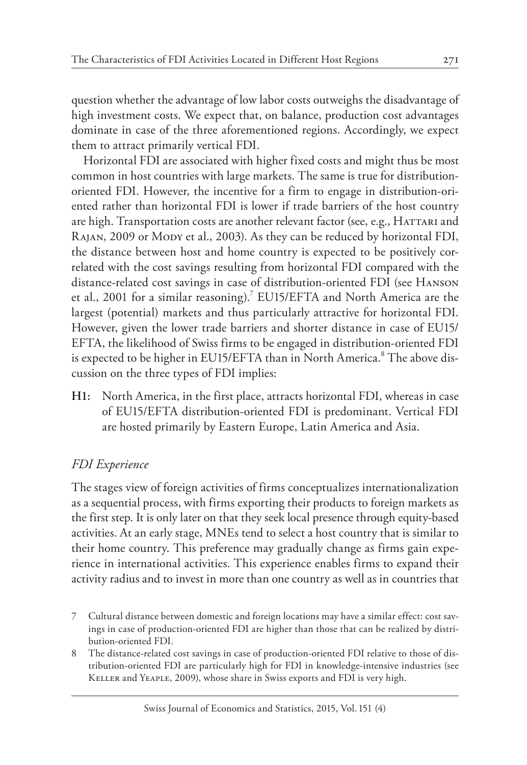question whether the advantage of low labor costs outweighs the disadvantage of high investment costs. We expect that, on balance, production cost advantages dominate in case of the three aforementioned regions. Accordingly, we expect them to attract primarily vertical FDI.

Horizontal FDI are associated with higher fixed costs and might thus be most common in host countries with large markets. The same is true for distributionoriented FDI. However, the incentive for a firm to engage in distribution-oriented rather than horizontal FDI is lower if trade barriers of the host country are high. Transportation costs are another relevant factor (see, e.g., HATTARI and RAJAN, 2009 or MODY et al., 2003). As they can be reduced by horizontal FDI, the distance between host and home country is expected to be positively correlated with the cost savings resulting from horizontal FDI compared with the distance-related cost savings in case of distribution-oriented FDI (see Hanson et al., 2001 for a similar reasoning). 7 EU15/EFTA and North America are the largest (potential) markets and thus particularly attractive for horizontal FDI. However, given the lower trade barriers and shorter distance in case of EU15/ EFTA, the likelihood of Swiss firms to be engaged in distribution-oriented FDI is expected to be higher in EU15/EFTA than in North America. 8 The above discussion on the three types of FDI implies:

**H1:** North America, in the first place, attracts horizontal FDI, whereas in case of EU15/EFTA distribution-oriented FDI is predominant. Vertical FDI are hosted primarily by Eastern Europe, Latin America and Asia.

# *FDI Experience*

The stages view of foreign activities of firms conceptualizes internationalization as a sequential process, with firms exporting their products to foreign markets as the first step. It is only later on that they seek local presence through equity-based activities. At an early stage, MNEs tend to select a host country that is similar to their home country. This preference may gradually change as firms gain experience in international activities. This experience enables firms to expand their activity radius and to invest in more than one country as well as in countries that

- 7 Cultural distance between domestic and foreign locations may have a similar effect: cost savings in case of production-oriented FDI are higher than those that can be realized by distribution-oriented FDI.
- 8 The distance-related cost savings in case of production-oriented FDI relative to those of distribution-oriented FDI are particularly high for FDI in knowledge-intensive industries (see Keller and Yeaple, 2009), whose share in Swiss exports and FDI is very high.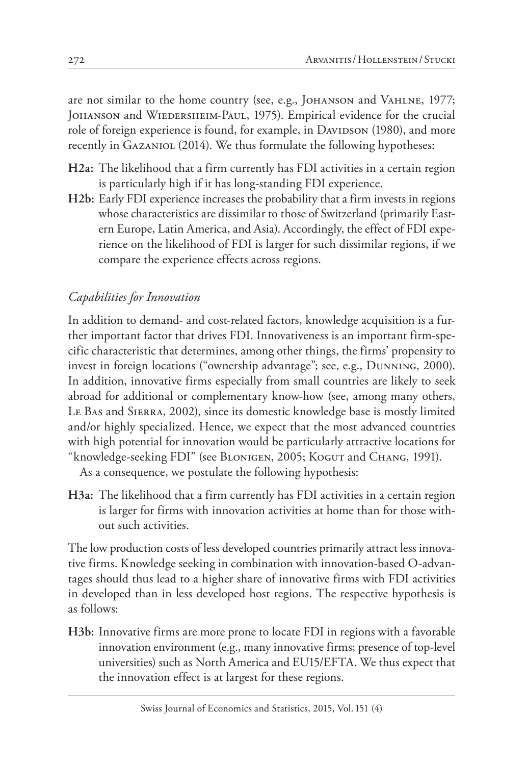are not similar to the home country (see, e.g., Johanson and Vahlne, 1977; JOHANSON and WIEDERSHEIM-PAUL, 1975). Empirical evidence for the crucial role of foreign experience is found, for example, in DAVIDSON (1980), and more recently in GAZANIOL (2014). We thus formulate the following hypotheses:

- **H2a:** The likelihood that a firm currently has FDI activities in a certain region is particularly high if it has long-standing FDI experience.
- **H2b:** Early FDI experience increases the probability that a firm invests in regions whose characteristics are dissimilar to those of Switzerland (primarily Eastern Europe, Latin America, and Asia). Accordingly, the effect of FDI experience on the likelihood of FDI is larger for such dissimilar regions, if we compare the experience effects across regions.

# *Capabilities for Innovation*

In addition to demand- and cost-related factors, knowledge acquisition is a further important factor that drives FDI. Innovativeness is an important firm-specific characteristic that determines, among other things, the firms' propensity to invest in foreign locations ("ownership advantage"; see, e.g., Dunning, 2000). In addition, innovative firms especially from small countries are likely to seek abroad for additional or complementary know-how (see, among many others, Le Bas and Sierra, 2002), since its domestic knowledge base is mostly limited and/or highly specialized. Hence, we expect that the most advanced countries with high potential for innovation would be particularly attractive locations for "knowledge-seeking FDI" (see BLONIGEN, 2005; KOGUT and CHANG, 1991).

As a consequence, we postulate the following hypothesis:

**H3a:** The likelihood that a firm currently has FDI activities in a certain region is larger for firms with innovation activities at home than for those without such activities.

The low production costs of less developed countries primarily attract less innovative firms. Knowledge seeking in combination with innovation-based O-advantages should thus lead to a higher share of innovative firms with FDI activities in developed than in less developed host regions. The respective hypothesis is as follows:

**H3b:** Innovative firms are more prone to locate FDI in regions with a favorable innovation environment (e.g., many innovative firms; presence of top-level universities) such as North America and EU15/EFTA. We thus expect that the innovation effect is at largest for these regions.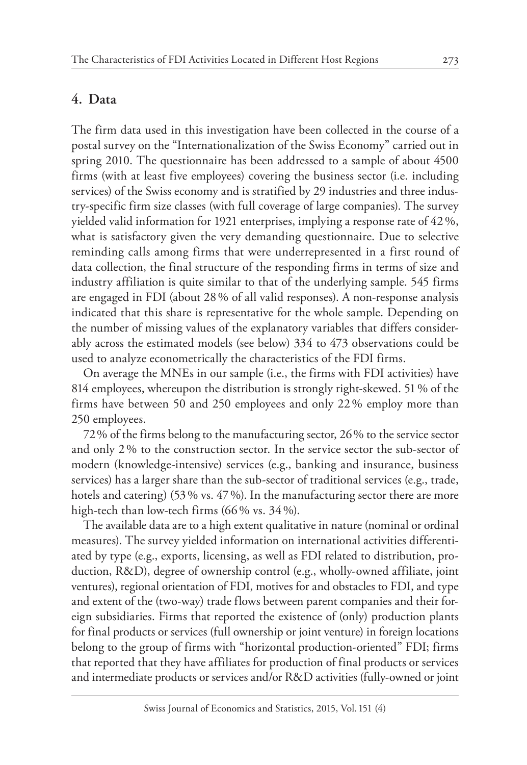# **4. Data**

The firm data used in this investigation have been collected in the course of a postal survey on the "Internationalization of the Swiss Economy" carried out in spring 2010. The questionnaire has been addressed to a sample of about 4500 firms (with at least five employees) covering the business sector (i.e. including services) of the Swiss economy and is stratified by 29 industries and three industry-specific firm size classes (with full coverage of large companies). The survey yielded valid information for 1921 enterprises, implying a response rate of 42%, what is satisfactory given the very demanding questionnaire. Due to selective reminding calls among firms that were underrepresented in a first round of data collection, the final structure of the responding firms in terms of size and industry affiliation is quite similar to that of the underlying sample. 545 firms are engaged in FDI (about 28% of all valid responses). A non-response analysis indicated that this share is representative for the whole sample. Depending on the number of missing values of the explanatory variables that differs considerably across the estimated models (see below) 334 to 473 observations could be used to analyze econometrically the characteristics of the FDI firms.

On average the MNEs in our sample (i.e., the firms with FDI activities) have 814 employees, whereupon the distribution is strongly right-skewed. 51% of the firms have between 50 and 250 employees and only 22% employ more than 250 employees.

72% of the firms belong to the manufacturing sector, 26% to the service sector and only 2% to the construction sector. In the service sector the sub-sector of modern (knowledge-intensive) services (e.g., banking and insurance, business services) has a larger share than the sub-sector of traditional services (e.g., trade, hotels and catering) (53% vs. 47%). In the manufacturing sector there are more high-tech than low-tech firms (66% vs. 34%).

The available data are to a high extent qualitative in nature (nominal or ordinal measures). The survey yielded information on international activities differentiated by type (e.g., exports, licensing, as well as FDI related to distribution, production, R&D), degree of ownership control (e.g., wholly-owned affiliate, joint ventures), regional orientation of FDI, motives for and obstacles to FDI, and type and extent of the (two-way) trade flows between parent companies and their foreign subsidiaries. Firms that reported the existence of (only) production plants for final products or services (full ownership or joint venture) in foreign locations belong to the group of firms with "horizontal production-oriented" FDI; firms that reported that they have affiliates for production of final products or services and intermediate products or services and/or R&D activities (fully-owned or joint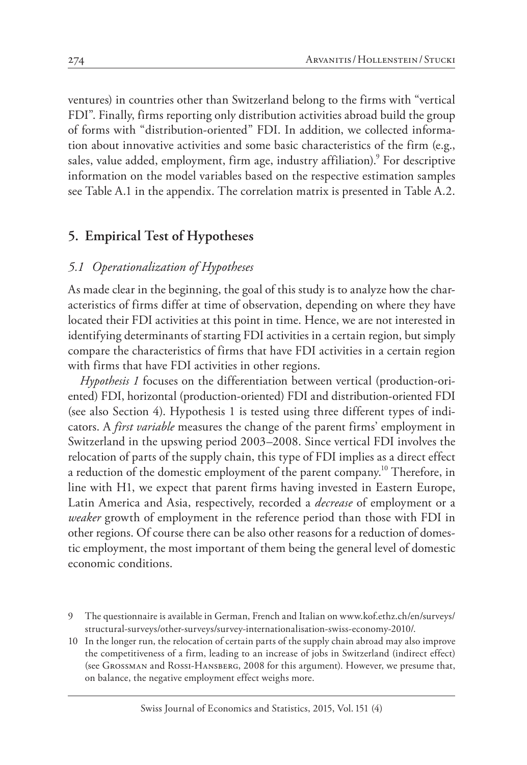ventures) in countries other than Switzerland belong to the firms with "vertical FDI". Finally, firms reporting only distribution activities abroad build the group of forms with "distribution-oriented" FDI. In addition, we collected information about innovative activities and some basic characteristics of the firm (e.g., sales, value added, employment, firm age, industry affiliation). $^{\circ}$  For descriptive information on the model variables based on the respective estimation samples see Table A.1 in the appendix. The correlation matrix is presented in Table A.2.

# **5. Empirical Test of Hypotheses**

## *5.1 Operationalization of Hypotheses*

As made clear in the beginning, the goal of this study is to analyze how the characteristics of firms differ at time of observation, depending on where they have located their FDI activities at this point in time. Hence, we are not interested in identifying determinants of starting FDI activities in a certain region, but simply compare the characteristics of firms that have FDI activities in a certain region with firms that have FDI activities in other regions.

*Hypothesis 1* focuses on the differentiation between vertical (production-oriented) FDI, horizontal (production-oriented) FDI and distribution-oriented FDI (see also Section 4). Hypothesis 1 is tested using three different types of indicators. A *first variable* measures the change of the parent firms' employment in Switzerland in the upswing period 2003–2008. Since vertical FDI involves the relocation of parts of the supply chain, this type of FDI implies as a direct effect a reduction of the domestic employment of the parent company.<sup>10</sup> Therefore, in line with H1, we expect that parent firms having invested in Eastern Europe, Latin America and Asia, respectively, recorded a *decrease* of employment or a *weaker* growth of employment in the reference period than those with FDI in other regions. Of course there can be also other reasons for a reduction of domestic employment, the most important of them being the general level of domestic economic conditions.

<sup>9</sup> The questionnaire is available in German, French and Italian on [www.kof.ethz.ch/en/surveys/](www.kof.ethz.ch/en/surveys/structural-surveys/other-surveys/survey-internationalisation-swiss-economy-2010/) [structural-surveys/other-surveys/survey-internationalisation-swiss-economy-2010/.](www.kof.ethz.ch/en/surveys/structural-surveys/other-surveys/survey-internationalisation-swiss-economy-2010/)

<sup>10</sup> In the longer run, the relocation of certain parts of the supply chain abroad may also improve the competitiveness of a firm, leading to an increase of jobs in Switzerland (indirect effect) (see Grossman and Rossi-Hansberg, 2008 for this argument). However, we presume that, on balance, the negative employment effect weighs more.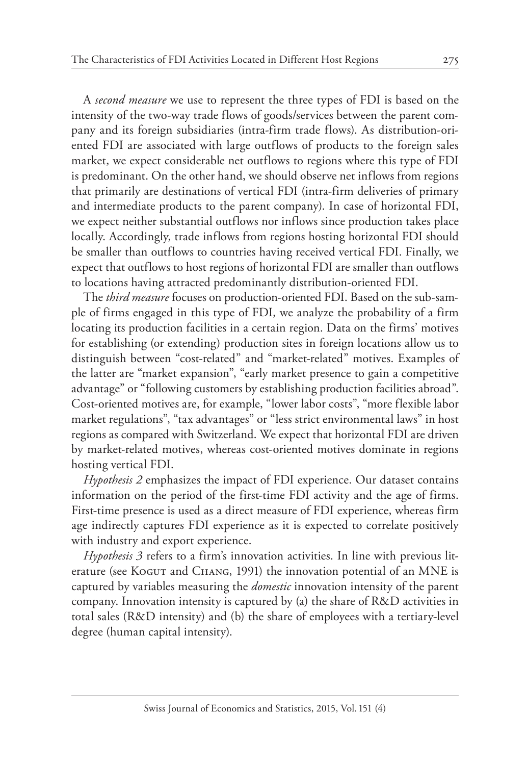A *second measure* we use to represent the three types of FDI is based on the intensity of the two-way trade flows of goods/services between the parent company and its foreign subsidiaries (intra-firm trade flows). As distribution-oriented FDI are associated with large outflows of products to the foreign sales market, we expect considerable net outflows to regions where this type of FDI is predominant. On the other hand, we should observe net inflows from regions that primarily are destinations of vertical FDI (intra-firm deliveries of primary and intermediate products to the parent company). In case of horizontal FDI, we expect neither substantial outflows nor inflows since production takes place locally. Accordingly, trade inflows from regions hosting horizontal FDI should be smaller than outflows to countries having received vertical FDI. Finally, we expect that outflows to host regions of horizontal FDI are smaller than outflows to locations having attracted predominantly distribution-oriented FDI.

The *third measure* focuses on production-oriented FDI. Based on the sub-sample of firms engaged in this type of FDI, we analyze the probability of a firm locating its production facilities in a certain region. Data on the firms' motives for establishing (or extending) production sites in foreign locations allow us to distinguish between "cost-related" and "market-related" motives. Examples of the latter are "market expansion", "early market presence to gain a competitive advantage" or "following customers by establishing production facilities abroad". Cost-oriented motives are, for example, "lower labor costs", "more flexible labor market regulations", "tax advantages" or "less strict environmental laws" in host regions as compared with Switzerland. We expect that horizontal FDI are driven by market-related motives, whereas cost-oriented motives dominate in regions hosting vertical FDI.

*Hypothesis 2* emphasizes the impact of FDI experience. Our dataset contains information on the period of the first-time FDI activity and the age of firms. First-time presence is used as a direct measure of FDI experience, whereas firm age indirectly captures FDI experience as it is expected to correlate positively with industry and export experience.

*Hypothesis 3* refers to a firm's innovation activities. In line with previous literature (see Kogut and Chang, 1991) the innovation potential of an MNE is captured by variables measuring the *domestic* innovation intensity of the parent company. Innovation intensity is captured by (a) the share of R&D activities in total sales (R&D intensity) and (b) the share of employees with a tertiary-level degree (human capital intensity).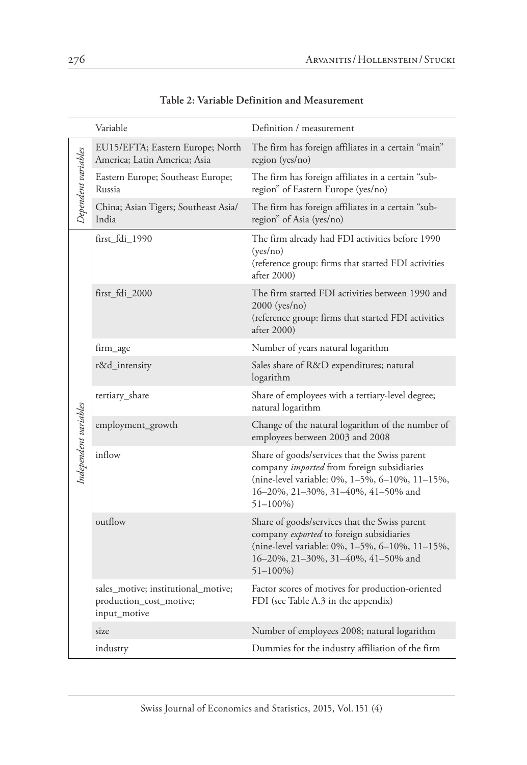|                       | Variable                                                                       | Definition / measurement                                                                                                                                                                            |
|-----------------------|--------------------------------------------------------------------------------|-----------------------------------------------------------------------------------------------------------------------------------------------------------------------------------------------------|
|                       | EU15/EFTA; Eastern Europe; North<br>America; Latin America; Asia               | The firm has foreign affiliates in a certain "main"<br>region (yes/no)                                                                                                                              |
| Dependent variables   | Eastern Europe; Southeast Europe;<br>Russia                                    | The firm has foreign affiliates in a certain "sub-<br>region" of Eastern Europe (yes/no)                                                                                                            |
|                       | China; Asian Tigers; Southeast Asia/<br>India                                  | The firm has foreign affiliates in a certain "sub-<br>region" of Asia (yes/no)                                                                                                                      |
|                       | first_fdi_1990                                                                 | The firm already had FDI activities before 1990<br>(yes/no)<br>(reference group: firms that started FDI activities<br>after $2000$                                                                  |
|                       | first_fdi_2000                                                                 | The firm started FDI activities between 1990 and<br>$2000$ (yes/no)<br>(reference group: firms that started FDI activities<br>after $2000$                                                          |
|                       | firm_age                                                                       | Number of years natural logarithm                                                                                                                                                                   |
|                       | r&d_intensity                                                                  | Sales share of R&D expenditures; natural<br>logarithm                                                                                                                                               |
|                       | tertiary_share                                                                 | Share of employees with a tertiary-level degree;<br>natural logarithm                                                                                                                               |
|                       | employment_growth                                                              | Change of the natural logarithm of the number of<br>employees between 2003 and 2008                                                                                                                 |
| Independent variables | inflow                                                                         | Share of goods/services that the Swiss parent<br>company imported from foreign subsidiaries<br>(nine-level variable: 0%, 1–5%, 6–10%, 11–15%,<br>16-20%, 21-30%, 31-40%, 41-50% and<br>$51 - 100\%$ |
|                       | outflow                                                                        | Share of goods/services that the Swiss parent<br>company exported to foreign subsidiaries<br>(nine-level variable: 0%, 1-5%, 6-10%, 11-15%,<br>16-20%, 21-30%, 31-40%, 41-50% and<br>$51 - 100\%$   |
|                       | sales_motive; institutional_motive;<br>production_cost_motive;<br>input_motive | Factor scores of motives for production-oriented<br>FDI (see Table A.3 in the appendix)                                                                                                             |
|                       | size                                                                           | Number of employees 2008; natural logarithm                                                                                                                                                         |
|                       | industry                                                                       | Dummies for the industry affiliation of the firm                                                                                                                                                    |

#### **Table 2: Variable Definition and Measurement**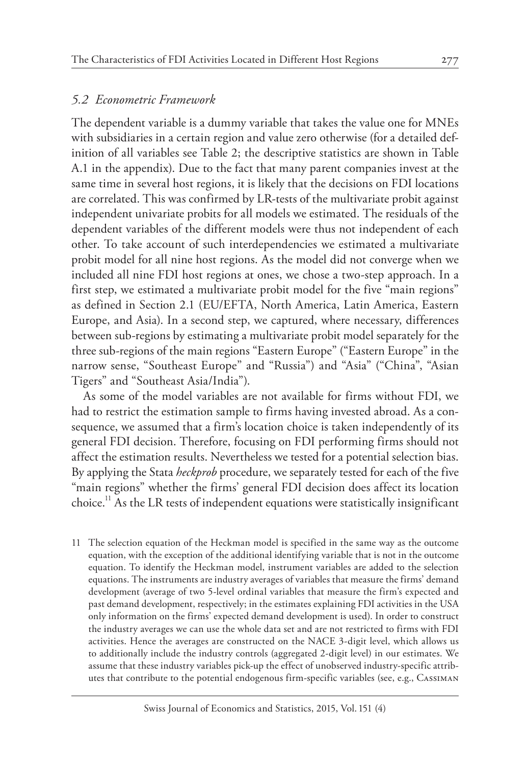#### *5.2 Econometric Framework*

The dependent variable is a dummy variable that takes the value one for MNEs with subsidiaries in a certain region and value zero otherwise (for a detailed definition of all variables see Table 2; the descriptive statistics are shown in Table A.1 in the appendix). Due to the fact that many parent companies invest at the same time in several host regions, it is likely that the decisions on FDI locations are correlated. This was confirmed by LR-tests of the multivariate probit against independent univariate probits for all models we estimated. The residuals of the dependent variables of the different models were thus not independent of each other. To take account of such interdependencies we estimated a multivariate probit model for all nine host regions. As the model did not converge when we included all nine FDI host regions at ones, we chose a two-step approach. In a first step, we estimated a multivariate probit model for the five "main regions" as defined in Section 2.1 (EU/EFTA, North America, Latin America, Eastern Europe, and Asia). In a second step, we captured, where necessary, differences between sub-regions by estimating a multivariate probit model separately for the three sub-regions of the main regions "Eastern Europe" ("Eastern Europe" in the narrow sense, "Southeast Europe" and "Russia") and "Asia" ("China", "Asian Tigers" and "Southeast Asia/India").

As some of the model variables are not available for firms without FDI, we had to restrict the estimation sample to firms having invested abroad. As a consequence, we assumed that a firm's location choice is taken independently of its general FDI decision. Therefore, focusing on FDI performing firms should not affect the estimation results. Nevertheless we tested for a potential selection bias. By applying the Stata *heckprob* procedure, we separately tested for each of the five "main regions" whether the firms' general FDI decision does affect its location choice. 11 As the LR tests of independent equations were statistically insignificant

11 The selection equation of the Heckman model is specified in the same way as the outcome equation, with the exception of the additional identifying variable that is not in the outcome equation. To identify the Heckman model, instrument variables are added to the selection equations. The instruments are industry averages of variables that measure the firms' demand development (average of two 5-level ordinal variables that measure the firm's expected and past demand development, respectively; in the estimates explaining FDI activities in the USA only information on the firms' expected demand development is used). In order to construct the industry averages we can use the whole data set and are not restricted to firms with FDI activities. Hence the averages are constructed on the NACE 3-digit level, which allows us to additionally include the industry controls (aggregated 2-digit level) in our estimates. We assume that these industry variables pick-up the effect of unobserved industry-specific attributes that contribute to the potential endogenous firm-specific variables (see, e.g., Cassiman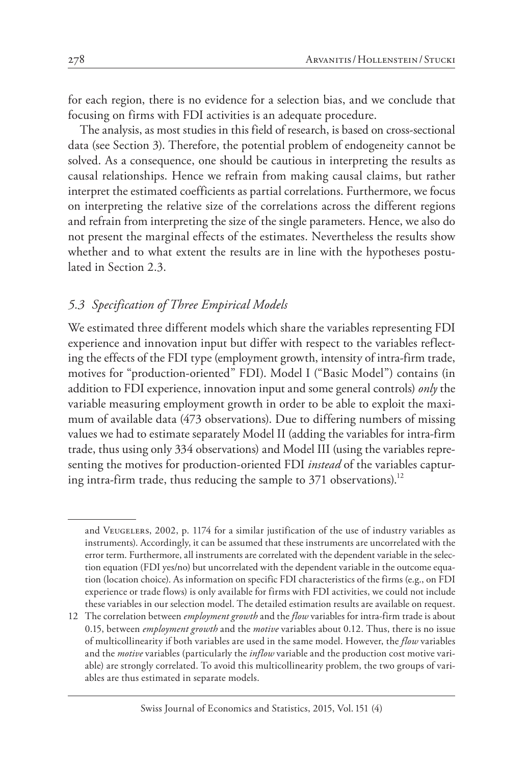for each region, there is no evidence for a selection bias, and we conclude that focusing on firms with FDI activities is an adequate procedure.

The analysis, as most studies in this field of research, is based on cross-sectional data (see Section 3). Therefore, the potential problem of endogeneity cannot be solved. As a consequence, one should be cautious in interpreting the results as causal relationships. Hence we refrain from making causal claims, but rather interpret the estimated coefficients as partial correlations. Furthermore, we focus on interpreting the relative size of the correlations across the different regions and refrain from interpreting the size of the single parameters. Hence, we also do not present the marginal effects of the estimates. Nevertheless the results show whether and to what extent the results are in line with the hypotheses postulated in Section 2.3.

## *5.3 Specification of Three Empirical Models*

We estimated three different models which share the variables representing FDI experience and innovation input but differ with respect to the variables reflecting the effects of the FDI type (employment growth, intensity of intra-firm trade, motives for "production-oriented" FDI). Model I ("Basic Model") contains (in addition to FDI experience, innovation input and some general controls) *only* the variable measuring employment growth in order to be able to exploit the maximum of available data (473 observations). Due to differing numbers of missing values we had to estimate separately Model II (adding the variables for intra-firm trade, thus using only 334 observations) and Model III (using the variables representing the motives for production-oriented FDI *instead* of the variables capturing intra-firm trade, thus reducing the sample to 371 observations). $^{12}$ 

and Veugelers, 2002, p. 1174 for a similar justification of the use of industry variables as instruments). Accordingly, it can be assumed that these instruments are uncorrelated with the error term. Furthermore, all instruments are correlated with the dependent variable in the selection equation (FDI yes/no) but uncorrelated with the dependent variable in the outcome equation (location choice). As information on specific FDI characteristics of the firms (e.g., on FDI experience or trade flows) is only available for firms with FDI activities, we could not include these variables in our selection model. The detailed estimation results are available on request.

<sup>12</sup> The correlation between *employment growth* and the *flow* variables for intra-firm trade is about 0.15, between *employment growth* and the *motive* variables about 0.12. Thus, there is no issue of multicollinearity if both variables are used in the same model. However, the *flow* variables and the *motive* variables (particularly the *inflow* variable and the production cost motive variable) are strongly correlated. To avoid this multicollinearity problem, the two groups of variables are thus estimated in separate models.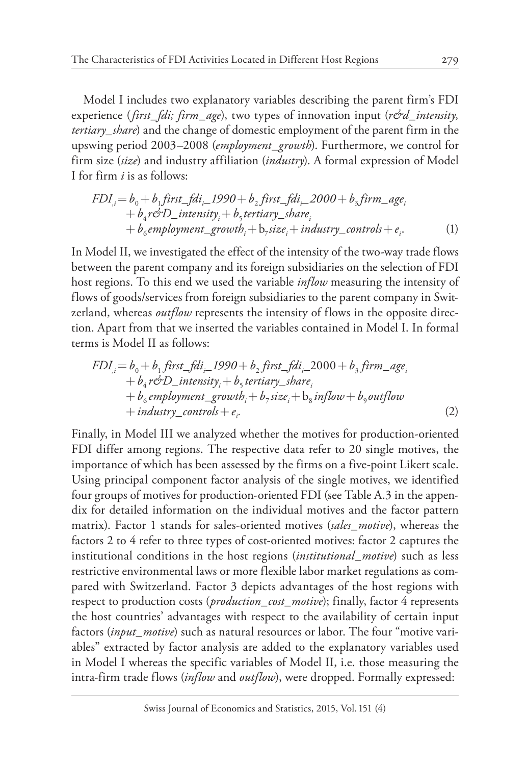Model I includes two explanatory variables describing the parent firm's FDI experience (*first\_fdi; firm\_age*), two types of innovation input (*r&d\_intensity, tertiary\_share*) and the change of domestic employment of the parent firm in the upswing period 2003–2008 (*employment\_growth*). Furthermore, we control for firm size (*size*) and industry affiliation (*industry*). A formal expression of Model I for firm *i* is as follows:

$$
FDIi = b0 + b1 first_fdii-11990 + b2 first_fdii-22000 + b3 firm-agei+ b4 r c2D- intensityi + b5 tertiary- sharei+ b6 employment- growthi + b2 sizei + industry- controls + ei.
$$
 (1)

In Model II, we investigated the effect of the intensity of the two-way trade flows between the parent company and its foreign subsidiaries on the selection of FDI host regions. To this end we used the variable *inflow* measuring the intensity of flows of goods/services from foreign subsidiaries to the parent company in Switzerland, whereas *outflow* represents the intensity of flows in the opposite direction. Apart from that we inserted the variables contained in Model I. In formal terms is Model II as follows:

$$
FDI_{,i} = b_0 + b_1 first_{i} + fdi_{i} - 1990 + b_2 first_{i} + fdi_{i} - 2000 + b_3 firm_{i} = age_i
$$
  
+  $b_4 r c'D_{i} + b_5 t$  *tertiary\_{i} + b\_7 size\_i + b\_8 inflow + b\_9 outflow*  
+  $i n dustry_{i} + i n dustry_{i} + e_i$ . (2)

Finally, in Model III we analyzed whether the motives for production-oriented FDI differ among regions. The respective data refer to 20 single motives, the importance of which has been assessed by the firms on a five-point Likert scale. Using principal component factor analysis of the single motives, we identified four groups of motives for production-oriented FDI (see Table A.3 in the appendix for detailed information on the individual motives and the factor pattern matrix). Factor 1 stands for sales-oriented motives (*sales\_motive*), whereas the factors 2 to 4 refer to three types of cost-oriented motives: factor 2 captures the institutional conditions in the host regions (*institutional\_motive*) such as less restrictive environmental laws or more flexible labor market regulations as compared with Switzerland. Factor 3 depicts advantages of the host regions with respect to production costs (*production\_cost\_motive*); finally, factor 4 represents the host countries' advantages with respect to the availability of certain input factors (*input\_motive*) such as natural resources or labor. The four "motive variables" extracted by factor analysis are added to the explanatory variables used in Model I whereas the specific variables of Model II, i.e. those measuring the intra-firm trade flows (*inflow* and *outflow*), were dropped. Formally expressed: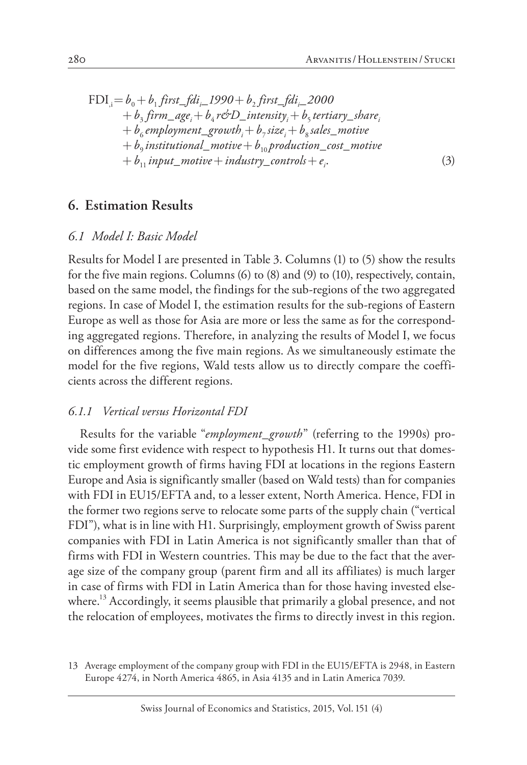$$
\text{FDI}_{,i} = b_0 + b_1 \text{ first\_fd}i_{i-}1990 + b_2 \text{ first\_fd}i_{i-}2000 + b_3 \text{ firm\_age}_i + b_4 \text{ r.c.}^{\text{CD}\_intensity}_i + b_5 \text{tertiary\_share}_i + b_6 \text{ employment\_growth}_i + b_7 \text{ size}_i + b_8 \text{ sales\_notice} + b_9 \text{ institutional\_motive} + b_{10} \text{production\_cost\_motive} + b_{11} \text{ input\_motive} + \text{industry\_controls} + e_i.
$$
 (3)

### **6. Estimation Results**

#### *6.1 Model I: Basic Model*

Results for Model I are presented in Table 3. Columns (1) to (5) show the results for the five main regions. Columns (6) to (8) and (9) to (10), respectively, contain, based on the same model, the findings for the sub-regions of the two aggregated regions. In case of Model I, the estimation results for the sub-regions of Eastern Europe as well as those for Asia are more or less the same as for the corresponding aggregated regions. Therefore, in analyzing the results of Model I, we focus on differences among the five main regions. As we simultaneously estimate the model for the five regions, Wald tests allow us to directly compare the coefficients across the different regions.

#### *6.1.1 Vertical versus Horizontal FDI*

Results for the variable "*employment\_growth*" (referring to the 1990s) provide some first evidence with respect to hypothesis H1. It turns out that domestic employment growth of firms having FDI at locations in the regions Eastern Europe and Asia is significantly smaller (based on Wald tests) than for companies with FDI in EU15/EFTA and, to a lesser extent, North America. Hence, FDI in the former two regions serve to relocate some parts of the supply chain ("vertical FDI"), what is in line with H1. Surprisingly, employment growth of Swiss parent companies with FDI in Latin America is not significantly smaller than that of firms with FDI in Western countries. This may be due to the fact that the average size of the company group (parent firm and all its affiliates) is much larger in case of firms with FDI in Latin America than for those having invested elsewhere. 13 Accordingly, it seems plausible that primarily a global presence, and not the relocation of employees, motivates the firms to directly invest in this region.

<sup>13</sup> Average employment of the company group with FDI in the EU15/EFTA is 2948, in Eastern Europe 4274, in North America 4865, in Asia 4135 and in Latin America 7039.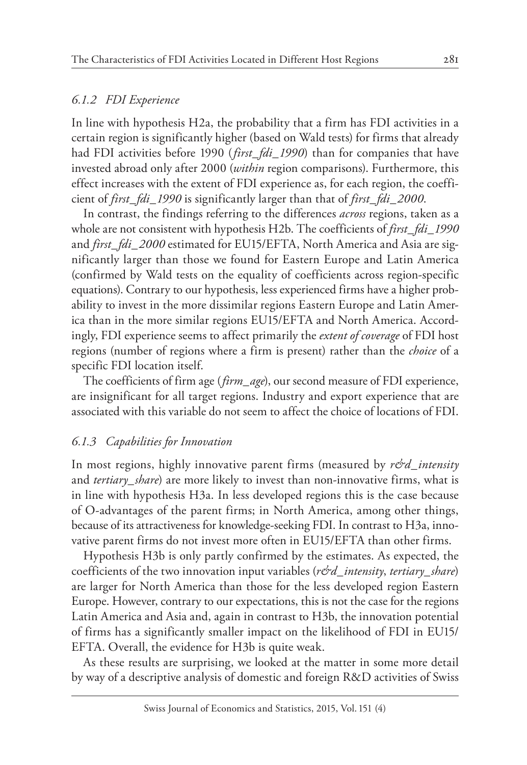#### *6.1.2 FDI Experience*

In line with hypothesis H2a, the probability that a firm has FDI activities in a certain region is significantly higher (based on Wald tests) for firms that already had FDI activities before 1990 (*first\_fdi\_1990*) than for companies that have invested abroad only after 2000 (*within* region comparisons). Furthermore, this effect increases with the extent of FDI experience as, for each region, the coefficient of *first\_fdi\_1990* is significantly larger than that of *first\_fdi\_2000*.

In contrast, the findings referring to the differences *across* regions, taken as a whole are not consistent with hypothesis H2b. The coefficients of *first\_fdi\_1990* and *first\_fdi\_2000* estimated for EU15/EFTA, North America and Asia are significantly larger than those we found for Eastern Europe and Latin America (confirmed by Wald tests on the equality of coefficients across region-specific equations). Contrary to our hypothesis, less experienced firms have a higher probability to invest in the more dissimilar regions Eastern Europe and Latin America than in the more similar regions EU15/EFTA and North America. Accordingly, FDI experience seems to affect primarily the *extent of coverage* of FDI host regions (number of regions where a firm is present) rather than the *choice* of a specific FDI location itself.

The coefficients of firm age (*firm\_age*), our second measure of FDI experience, are insignificant for all target regions. Industry and export experience that are associated with this variable do not seem to affect the choice of locations of FDI.

#### *6.1.3 Capabilities for Innovation*

In most regions, highly innovative parent firms (measured by *r&d\_intensity* and *tertiary\_share*) are more likely to invest than non-innovative firms, what is in line with hypothesis H3a. In less developed regions this is the case because of O-advantages of the parent firms; in North America, among other things, because of its attractiveness for knowledge-seeking FDI. In contrast to H3a, innovative parent firms do not invest more often in EU15/EFTA than other firms.

Hypothesis H3b is only partly confirmed by the estimates. As expected, the coefficients of the two innovation input variables (*r&d\_intensity*, *tertiary\_share*) are larger for North America than those for the less developed region Eastern Europe. However, contrary to our expectations, this is not the case for the regions Latin America and Asia and, again in contrast to H3b, the innovation potential of firms has a significantly smaller impact on the likelihood of FDI in EU15/ EFTA. Overall, the evidence for H3b is quite weak.

As these results are surprising, we looked at the matter in some more detail by way of a descriptive analysis of domestic and foreign R&D activities of Swiss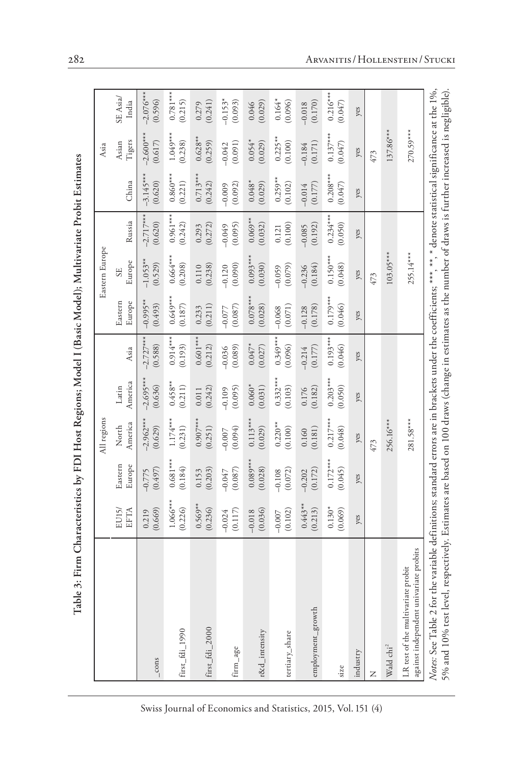Table 3: Firm Characteristics by FDI Host Regions; Model I (Basic Model); Multivariate Probit Estimates **Table 3: Firm Characteristics by FDI Host Regions; Model I (Basic Model); Multivariate Probit Estimates**

|                                                                                                                                                                                                                                                                                                                          |               |                   | All regions      |                  |             |                   | Eastern Europe |             |             | Asia            |                   |
|--------------------------------------------------------------------------------------------------------------------------------------------------------------------------------------------------------------------------------------------------------------------------------------------------------------------------|---------------|-------------------|------------------|------------------|-------------|-------------------|----------------|-------------|-------------|-----------------|-------------------|
|                                                                                                                                                                                                                                                                                                                          | EU15/<br>EFTA | Eastern<br>Europe | America<br>North | America<br>Latin | Asia        | Eastern<br>Europe | Europe<br>SE   | Russia      | China       | Tigers<br>Asian | SE Asia/<br>India |
| _cons                                                                                                                                                                                                                                                                                                                    | (0.669)       | (0.497)           | $-2.962***$      | $-2.695***$      | $-2.727***$ | $-0.995**$        | $-1.053**$     | $-2.717***$ | $-3.145***$ | $-2.600***$     | $-2.076***$       |
|                                                                                                                                                                                                                                                                                                                          | 0.219         | $-0.775$          | (0.629)          | (0.636)          | (0.588)     | (0.493)           | (0.529)        | (0.620)     | (0.620)     | (0.617)         | (0.596)           |
| first_fdi_1990                                                                                                                                                                                                                                                                                                           | $1.066***$    | $0.681***$        | $1.174***$       | $0.458***$       | $0.914***$  | $0.649***$        | $0.664***$     | $0.961***$  | $0.860***$  | $1.049***$      | $0.781***$        |
|                                                                                                                                                                                                                                                                                                                          | (0.226)       | (0.184)           | (0.231)          | (0.211)          | (0.193)     | (0.187)           | (0.208)        | (0.242)     | (0.221)     | (0.238)         | (0.215)           |
| first_fdi_2000                                                                                                                                                                                                                                                                                                           | $0.569***$    | (0.203)           | $0.907***$       | (0.242)          | $0.601***$  | (0.211)           | (0.238)        | (0.272)     | $0.713***$  | $0.628***$      | (0.241)           |
|                                                                                                                                                                                                                                                                                                                          | (0.236)       | 0.153             | (0.251)          | 0.011            | (0.212)     | 0.233             | 0.110          | 0.293       | (0.242)     | (0.259)         | 0.279             |
| firm_age                                                                                                                                                                                                                                                                                                                 | (0.117)       | (0.087)           | (0.094)          | (0.095)          | (0.089)     | (0.087)           | (0.090)        | (0.095)     | (0.092)     | (0.091)         | $-0.153*$         |
|                                                                                                                                                                                                                                                                                                                          | $-0.024$      | $-0.047$          | $-0.007$         | $-0.109$         | $-0.036$    | $-0.077$          | $-0.120$       | $-0.049$    | $-0.009$    | $-0.042$        | (0.093)           |
| r&d_intensity                                                                                                                                                                                                                                                                                                            | (0.036)       | $0.089***$        | $0.113***$       | $0.060*$         | $0.047*$    | $0.078***$        | $0.093***$     | $0.069**$   | $0.048*$    | $0.054*$        | (0.029)           |
|                                                                                                                                                                                                                                                                                                                          | $-0.018$      | (0.028)           | (0.029)          | (0.031)          | (0.027)     | (0.028)           | (0.030)        | (0.032)     | (0.029)     | (0.029)         | 0.046             |
| tertiary_share                                                                                                                                                                                                                                                                                                           | (0.102)       | (0.072)           | $0.220**$        | $0.332***$       | $0.349***$  | (0.071)           | (0.079)        | (0.100)     | $0.259**$   | $0.225***$      | $0.164*$          |
|                                                                                                                                                                                                                                                                                                                          | $-0.007$      | $-0.108$          | (0.100)          | (0.103)          | (0.096)     | $-0.068$          | $-0.059$       | 0.121       | (0.102)     | (0.100)         | (0.096)           |
| employment_growth                                                                                                                                                                                                                                                                                                        | $0.443**$     | (0.172)           | (0.181)          | (0.182)          | $-0.214$    | (0.178)           | (0.184)        | (0.192)     | (0.177)     | (0.171)         | (0.170)           |
|                                                                                                                                                                                                                                                                                                                          | (0.213)       | $-0.202$          | 0.160            | 0.176            | $(0.177)$   | $-0.128$          | $-0.236$       | $-0.085$    | $-0.014$    | $-0.184$        | $-0.018$          |
| size                                                                                                                                                                                                                                                                                                                     | $0.130*$      | $0.172***$        | $0.217***$       | $0.203***$       | $0.193***$  | $0.179***$        | $0.150***$     | $0.234***$  | $0.208***$  | $0.137***$      | $0.216***$        |
|                                                                                                                                                                                                                                                                                                                          | (0.069)       | (0.045)           | (0.048)          | (0.050)          | (0.046)     | (0.046)           | (0.048)        | (0.050)     | (0.047)     | (0.047)         | (0.047)           |
| industry                                                                                                                                                                                                                                                                                                                 | yes           | yes               | yes              | yes              | yes         | yes               | yes            | yes         | yes         | yes             | yes               |
| Z                                                                                                                                                                                                                                                                                                                        |               |                   | 473              |                  |             |                   | 473            |             |             | 473             |                   |
| Wald chi <sup>2</sup>                                                                                                                                                                                                                                                                                                    |               |                   | 256.16***        |                  |             |                   | $103.05***$    |             |             | 137.86***       |                   |
| against independent univariate probits<br>LR test of the multivariate probit                                                                                                                                                                                                                                             |               |                   | 281.58***        |                  |             |                   | 255.14***      |             |             | 270.59***       |                   |
| Notes: See Table 2 for the variable definitions; standard errors are in brackets under the coefficients; ***, **, * denote statistical significance at the 1%,<br>5% and 10% test level, respectively. Estimates are based on 100 draws (change in estimates as the number of draws is further increased is negligible). |               |                   |                  |                  |             |                   |                |             |             |                 |                   |

<sup>282</sup> ARVANITIS/HOLLENSTEIN/STUCKI

Swiss Journal of Economics and Statistics, 2015, Vol. 151 (4)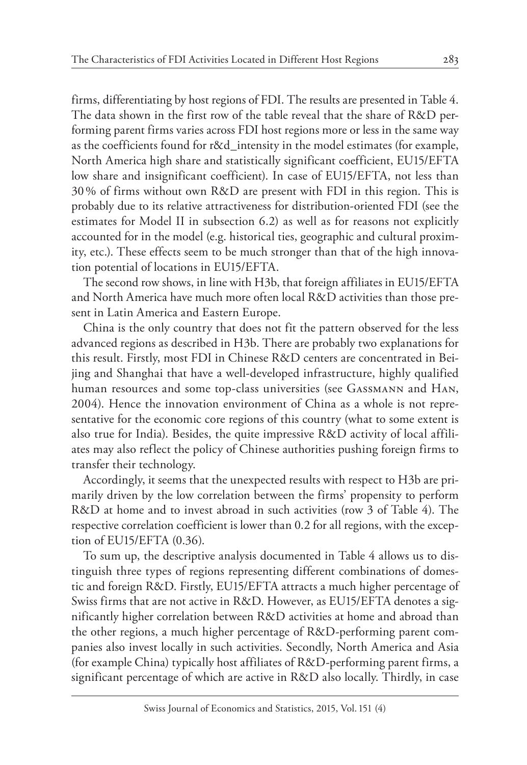firms, differentiating by host regions of FDI. The results are presented in Table 4. The data shown in the first row of the table reveal that the share of R&D performing parent firms varies across FDI host regions more or less in the same way as the coefficients found for r&d\_intensity in the model estimates (for example, North America high share and statistically significant coefficient, EU15/EFTA low share and insignificant coefficient). In case of EU15/EFTA, not less than 30% of firms without own R&D are present with FDI in this region. This is probably due to its relative attractiveness for distribution-oriented FDI (see the estimates for Model II in subsection 6.2) as well as for reasons not explicitly accounted for in the model (e.g. historical ties, geographic and cultural proximity, etc.). These effects seem to be much stronger than that of the high innovation potential of locations in EU15/EFTA.

The second row shows, in line with H3b, that foreign affiliates in EU15/EFTA and North America have much more often local R&D activities than those present in Latin America and Eastern Europe.

China is the only country that does not fit the pattern observed for the less advanced regions as described in H3b. There are probably two explanations for this result. Firstly, most FDI in Chinese R&D centers are concentrated in Beijing and Shanghai that have a well-developed infrastructure, highly qualified human resources and some top-class universities (see Gassmann and Han, 2004). Hence the innovation environment of China as a whole is not representative for the economic core regions of this country (what to some extent is also true for India). Besides, the quite impressive R&D activity of local affiliates may also reflect the policy of Chinese authorities pushing foreign firms to transfer their technology.

Accordingly, it seems that the unexpected results with respect to H3b are primarily driven by the low correlation between the firms' propensity to perform R&D at home and to invest abroad in such activities (row 3 of Table 4). The respective correlation coefficient is lower than 0.2 for all regions, with the exception of EU15/EFTA (0.36).

To sum up, the descriptive analysis documented in Table 4 allows us to distinguish three types of regions representing different combinations of domestic and foreign R&D. Firstly, EU15/EFTA attracts a much higher percentage of Swiss firms that are not active in R&D. However, as EU15/EFTA denotes a significantly higher correlation between R&D activities at home and abroad than the other regions, a much higher percentage of R&D-performing parent companies also invest locally in such activities. Secondly, North America and Asia (for example China) typically host affiliates of R&D-performing parent firms, a significant percentage of which are active in R&D also locally. Thirdly, in case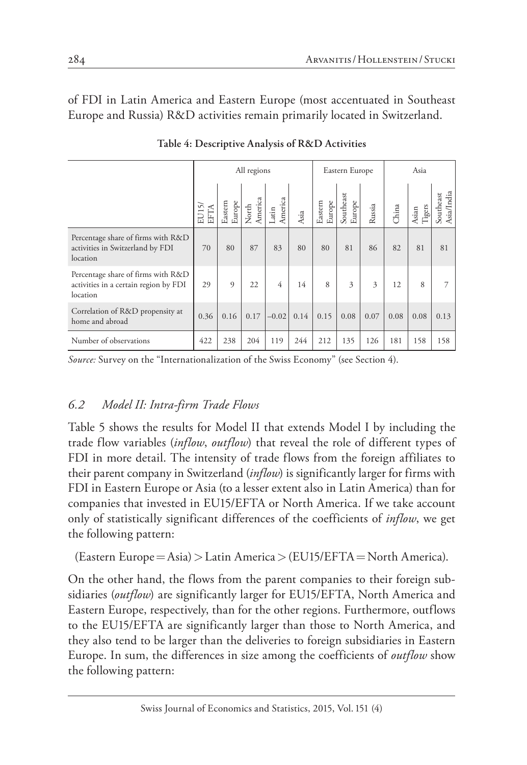of FDI in Latin America and Eastern Europe (most accentuated in Southeast Europe and Russia) R&D activities remain primarily located in Switzerland.

|                                                                                         |               |                   | All regions      |                  |      |                           | Eastern Europe      |        |       | Asia            |                         |
|-----------------------------------------------------------------------------------------|---------------|-------------------|------------------|------------------|------|---------------------------|---------------------|--------|-------|-----------------|-------------------------|
|                                                                                         | EU15/<br>EFTA | Eastern<br>Europe | North<br>America | America<br>Latin | Asia | ${\rm Eastern}$<br>Europe | Southeast<br>Europe | Russia | China | Tigers<br>Asian | Asia/India<br>Southeast |
| Percentage share of firms with R&D<br>activities in Switzerland by FDI<br>location      | 70            | 80                | 87               | 83               | 80   | 80                        | 81                  | 86     | 82    | 81              | 81                      |
| Percentage share of firms with R&D<br>activities in a certain region by FDI<br>location | 29            | 9                 | 22               | $\overline{4}$   | 14   | 8                         | 3                   | 3      | 12    | 8               |                         |
| Correlation of R&D propensity at<br>home and abroad                                     | 0.36          | 0.16              | 0.17             | $-0.02$          | 0.14 | 0.15                      | 0.08                | 0.07   | 0.08  | 0.08            | 0.13                    |
| Number of observations                                                                  | 422           | 238               | 204              | 119              | 244  | 212                       | 135                 | 126    | 181   | 158             | 158                     |

**Table 4: Descriptive Analysis of R&D Activities**

*Source:* Survey on the "Internationalization of the Swiss Economy" (see Section 4).

# *6.2 Model II: Intra-firm Trade Flows*

Table 5 shows the results for Model II that extends Model I by including the trade flow variables (*inflow*, *outflow*) that reveal the role of different types of FDI in more detail. The intensity of trade flows from the foreign affiliates to their parent company in Switzerland (*inflow*) is significantly larger for firms with FDI in Eastern Europe or Asia (to a lesser extent also in Latin America) than for companies that invested in EU15/EFTA or North America. If we take account only of statistically significant differences of the coefficients of *inflow*, we get the following pattern:

(Eastern Europe=Asia)>Latin America>(EU15/EFTA=North America).

On the other hand, the flows from the parent companies to their foreign subsidiaries (*outflow*) are significantly larger for EU15/EFTA, North America and Eastern Europe, respectively, than for the other regions. Furthermore, outflows to the EU15/EFTA are significantly larger than those to North America, and they also tend to be larger than the deliveries to foreign subsidiaries in Eastern Europe. In sum, the differences in size among the coefficients of *outflow* show the following pattern: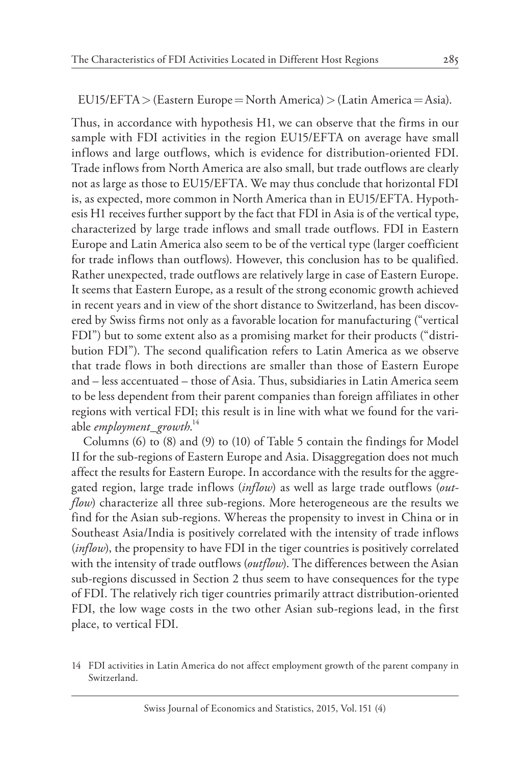#### EU15/EFTA>(Eastern Europe=North America)>(Latin America=Asia).

Thus, in accordance with hypothesis H1, we can observe that the firms in our sample with FDI activities in the region EU15/EFTA on average have small inflows and large outflows, which is evidence for distribution-oriented FDI. Trade inflows from North America are also small, but trade outflows are clearly not as large as those to EU15/EFTA. We may thus conclude that horizontal FDI is, as expected, more common in North America than in EU15/EFTA. Hypothesis H1 receives further support by the fact that FDI in Asia is of the vertical type, characterized by large trade inflows and small trade outflows. FDI in Eastern Europe and Latin America also seem to be of the vertical type (larger coefficient for trade inflows than outflows). However, this conclusion has to be qualified. Rather unexpected, trade outflows are relatively large in case of Eastern Europe. It seems that Eastern Europe, as a result of the strong economic growth achieved in recent years and in view of the short distance to Switzerland, has been discovered by Swiss firms not only as a favorable location for manufacturing ("vertical FDI") but to some extent also as a promising market for their products ("distribution FDI"). The second qualification refers to Latin America as we observe that trade flows in both directions are smaller than those of Eastern Europe and – less accentuated – those of Asia. Thus, subsidiaries in Latin America seem to be less dependent from their parent companies than foreign affiliates in other regions with vertical FDI; this result is in line with what we found for the variable *employment\_growth*. 14

Columns (6) to (8) and (9) to (10) of Table 5 contain the findings for Model II for the sub-regions of Eastern Europe and Asia. Disaggregation does not much affect the results for Eastern Europe. In accordance with the results for the aggregated region, large trade inflows (*inflow*) as well as large trade outflows (*outflow*) characterize all three sub-regions. More heterogeneous are the results we find for the Asian sub-regions. Whereas the propensity to invest in China or in Southeast Asia/India is positively correlated with the intensity of trade inflows (*inflow*), the propensity to have FDI in the tiger countries is positively correlated with the intensity of trade outflows (*outflow*). The differences between the Asian sub-regions discussed in Section 2 thus seem to have consequences for the type of FDI. The relatively rich tiger countries primarily attract distribution-oriented FDI, the low wage costs in the two other Asian sub-regions lead, in the first place, to vertical FDI.

14 FDI activities in Latin America do not affect employment growth of the parent company in Switzerland.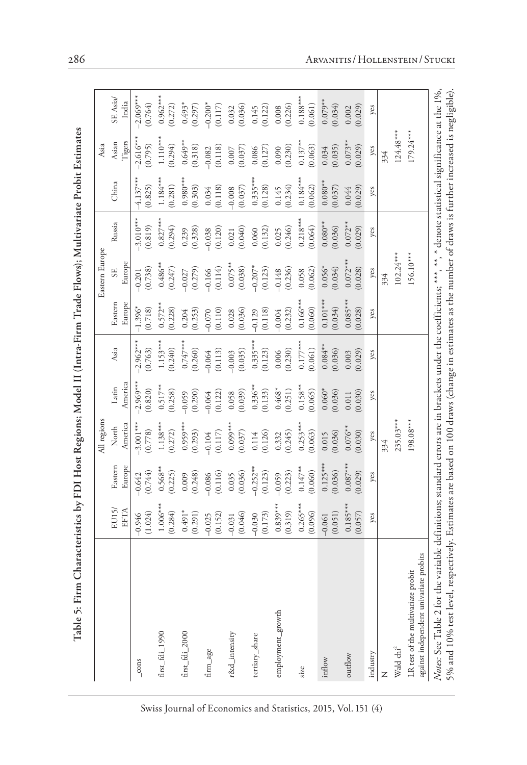Table 5: Firm Characteristics by FDI Host Regions; Model II (Intra-Firm Trade Flows); Multivariate Probit Estimates **Table 5: Firm Characteristics by FDI Host Regions; Model II (Intra-Firm Trade Flows); Multivariate Probit Estimates**

|                                                                                                                                                                                                                                                                                                                          |                      |                   | All regions |             |             |                       | Eastern Europe |            |             | Asia        |             |
|--------------------------------------------------------------------------------------------------------------------------------------------------------------------------------------------------------------------------------------------------------------------------------------------------------------------------|----------------------|-------------------|-------------|-------------|-------------|-----------------------|----------------|------------|-------------|-------------|-------------|
|                                                                                                                                                                                                                                                                                                                          | EU15/<br><b>EFTA</b> | Europe<br>Eastern | North       | Latin       | Asia        | Eastern               | <b>SE</b>      | Russia     | China       | Asian       | SE Asia/    |
|                                                                                                                                                                                                                                                                                                                          |                      |                   | America     | America     |             | Europe                | Europe         |            |             | Tigers      | India       |
| _cons                                                                                                                                                                                                                                                                                                                    | $-0.946$             | $-0.642$          | $-3.001***$ | $-2.969***$ | $-2.962***$ | $-1.396$ <sup>*</sup> | $-0.201$       | $3.010***$ | $-4.137***$ | $-2.616***$ | $-2.069***$ |
|                                                                                                                                                                                                                                                                                                                          | (1.024)              | (0.744)           | (0.778)     | (0.820)     | (0.763)     | (0.718)               | (0.738)        | (0.819)    | (0.825)     | (0.795)     | (0.764)     |
| $first\_fdi\_1990$                                                                                                                                                                                                                                                                                                       | $1.006***$           | $0.568***$        | $1.138***$  | $0.517***$  | $1.153***$  | $0.572***$            | $0.486***$     | $0.827***$ | $1.184***$  | $1.110***$  | $0.962***$  |
|                                                                                                                                                                                                                                                                                                                          | (0.284)              | (0.225)           | (0.272)     | (0.258)     | (0.240)     | (0.228)               | (0.247)        | (0.294)    | (0.281)     | (0.294)     | (0.272)     |
| $first\_fdi\_2000$                                                                                                                                                                                                                                                                                                       | $0.491*$             | 0.009             | $0.959***$  | $-0.059$    | $0.747***$  | 0.204                 | $-0.027$       | 0.239      | $0.980***$  | $0.649**$   | $0.493*$    |
|                                                                                                                                                                                                                                                                                                                          | (0.291)              | (0.248)           | (0.293)     | (0.290)     | (0.260)     | (0.253)               | (0.279)        | (0.328)    | (0.303)     | (0.318)     | (0.297)     |
| firm_age                                                                                                                                                                                                                                                                                                                 | $-0.025$             | $-0.086$          | $-0.104$    | $-0.064$    | $-0.064$    | $-0.070$              | $-0.166$       | $-0.038$   | 0.034       | $-0.082$    | $-0.200*$   |
|                                                                                                                                                                                                                                                                                                                          | (0.152)              | (0.116)           | (0.117)     | (0.122)     | (0.113)     | (0.110)               | (0.114)        | (0.120)    | (0.118)     | (0.118)     | $(0.117)$   |
| r&d_intensity                                                                                                                                                                                                                                                                                                            | $-0.031$             | 0.035             | $0.099***$  | 0.058       | $-0.003$    | 0.028                 | $0.075***$     | 0.021      | $-0.008$    | $0.007\,$   | 0.032       |
|                                                                                                                                                                                                                                                                                                                          | (0.046)              | (0.036)           | (0.037)     | (0.039)     | (0.035)     | (0.036)               | (0.038)        | (0.040)    | (0.037)     | (0.037)     | (0.036)     |
| tertiary_share                                                                                                                                                                                                                                                                                                           | $-0.030$             | $-0.252***$       | 0.114       | $0.336***$  | $0.335***$  | $-0.129$              | $-0.207*$      | 0.060      | $0.335***$  | 0.086       | 0.145       |
|                                                                                                                                                                                                                                                                                                                          | (0.173)              | (0.123)           | (0.126)     | (0.133)     | (0.123)     | (0.118)               | (0.123)        | (0.132)    | (0.128)     | (0.127)     | (0.122)     |
| employment_growth                                                                                                                                                                                                                                                                                                        | $0.839***$           | $-0.059$          | 0.332       | $0.468*$    | 0.006       | $-0.004$              | $-0.148$       | 0.025      | 0.145       | 0.090       | 0.008       |
|                                                                                                                                                                                                                                                                                                                          | (0.319)              | (0.223)           | (0.245)     | (0.251)     | (0.230)     | (0.232)               | (0.236)        | (0.246)    | (0.234)     | (0.230)     | (0.226)     |
| size                                                                                                                                                                                                                                                                                                                     | $0.265***$           | $0.147***$        | $0.253***$  | $0.158***$  | $0.177***$  | $0.166***$            | 0.058          | $0.218***$ | $0.184***$  | $0.137***$  | $0.188***$  |
|                                                                                                                                                                                                                                                                                                                          | (0.096)              | (0.060)           | (0.063)     | (0.065)     | (0.061)     | (0.060)               | (0.062)        | (0.064)    | (0.062)     | (0.063)     | (0.061)     |
| inflow                                                                                                                                                                                                                                                                                                                   | $-0.061$             | $0.125***$        | 0.015       | $0.060*$    | $0.084***$  | $0.101***$            | $0.056*$       | $0.080**$  | $0.080**$   | 0.034       | $0.079**$   |
|                                                                                                                                                                                                                                                                                                                          | (0.051)              | (0.036)           | (0.036)     | (0.036)     | (0.036)     | (0.034)               | (0.034)        | (0.036)    | (0.037)     | (0.035)     | (0.034)     |
| outflow                                                                                                                                                                                                                                                                                                                  | $0.185***$           | $0.087***$        | $0.076**$   | 0.011       | 0.003       | $0.085***$            | $0.072***$     | $0.072***$ | 0.044       | $0.073***$  | 0.002       |
|                                                                                                                                                                                                                                                                                                                          | (0.057)              | (0.029)           | (0.030)     | (0.030)     | (0.029)     | (0.028)               | (0.028)        | (0.029)    | (0.029)     | (0.029)     | (0.029)     |
| industry                                                                                                                                                                                                                                                                                                                 | yes                  | yes               | yes         | yes         | yes         | yes                   | yes            | yes        | yes         | yes         | yes         |
| Z                                                                                                                                                                                                                                                                                                                        |                      |                   | 334         |             |             |                       | 334            |            |             | 334         |             |
| Wald chi <sup>2</sup>                                                                                                                                                                                                                                                                                                    |                      |                   | 235.03***   |             |             |                       | $102.24***$    |            |             | $124.48***$ |             |
| against independent univariate probits<br>LR test of the multivariate probit                                                                                                                                                                                                                                             |                      |                   | 198.08***   |             |             |                       | 156.10***      |            |             | $179.24***$ |             |
| Notes: See Table 2 for the variable definitions; standard errors are in brackets under the coefficients; ***, **, * denote statistical significance at the 1%,<br>5% and 10% test level, respectively. Estimates are based on 100 draws (change in estimates as the number of draws is further increased is negligible). |                      |                   |             |             |             |                       |                |            |             |             |             |

Swiss Journal of Economics and Statistics, 2015, Vol. 151 (4)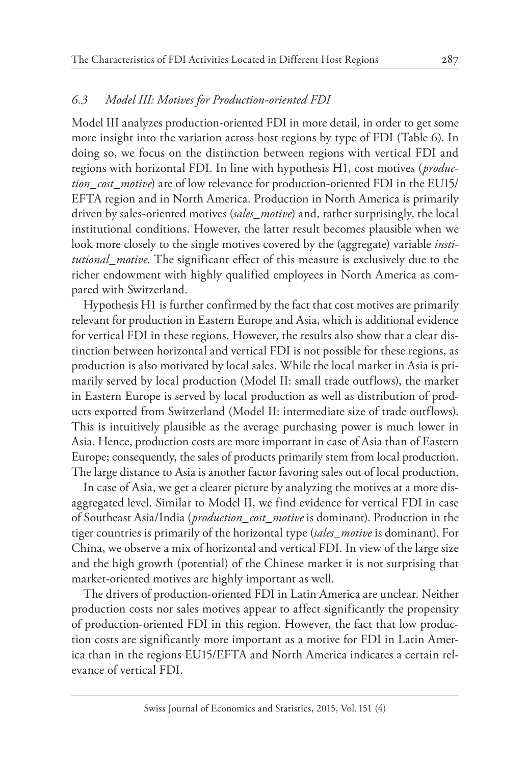# *6.3 Model III: Motives for Production-oriented FDI*

Model III analyzes production-oriented FDI in more detail, in order to get some more insight into the variation across host regions by type of FDI (Table 6). In doing so, we focus on the distinction between regions with vertical FDI and regions with horizontal FDI. In line with hypothesis H1, cost motives (*production\_cost\_motive*) are of low relevance for production-oriented FDI in the EU15/ EFTA region and in North America. Production in North America is primarily driven by sales-oriented motives (*sales\_motive*) and, rather surprisingly, the local institutional conditions. However, the latter result becomes plausible when we look more closely to the single motives covered by the (aggregate) variable *institutional\_motive*. The significant effect of this measure is exclusively due to the richer endowment with highly qualified employees in North America as compared with Switzerland.

Hypothesis H1 is further confirmed by the fact that cost motives are primarily relevant for production in Eastern Europe and Asia, which is additional evidence for vertical FDI in these regions. However, the results also show that a clear distinction between horizontal and vertical FDI is not possible for these regions, as production is also motivated by local sales. While the local market in Asia is primarily served by local production (Model II: small trade outflows), the market in Eastern Europe is served by local production as well as distribution of products exported from Switzerland (Model II: intermediate size of trade outflows). This is intuitively plausible as the average purchasing power is much lower in Asia. Hence, production costs are more important in case of Asia than of Eastern Europe; consequently, the sales of products primarily stem from local production. The large distance to Asia is another factor favoring sales out of local production.

In case of Asia, we get a clearer picture by analyzing the motives at a more disaggregated level. Similar to Model II, we find evidence for vertical FDI in case of Southeast Asia/India (*production\_cost\_motive* is dominant). Production in the tiger countries is primarily of the horizontal type (*sales\_motive* is dominant). For China, we observe a mix of horizontal and vertical FDI. In view of the large size and the high growth (potential) of the Chinese market it is not surprising that market-oriented motives are highly important as well.

The drivers of production-oriented FDI in Latin America are unclear. Neither production costs nor sales motives appear to affect significantly the propensity of production-oriented FDI in this region. However, the fact that low production costs are significantly more important as a motive for FDI in Latin America than in the regions EU15/EFTA and North America indicates a certain relevance of vertical FDI.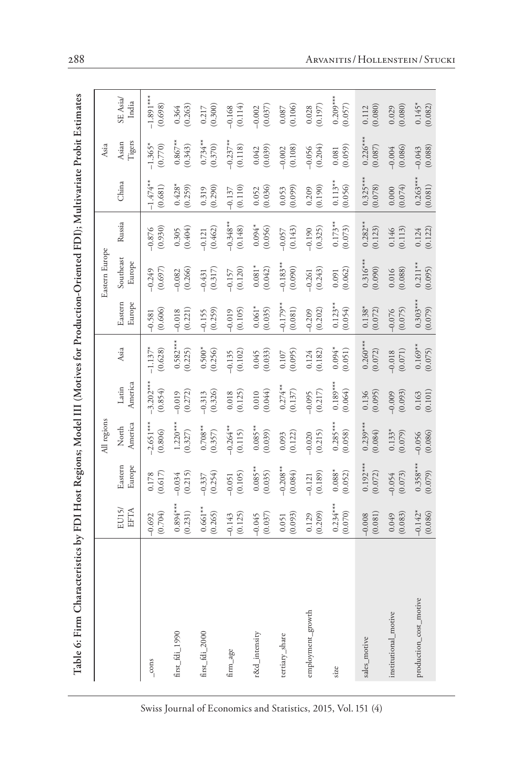| l                                                                                  |  |
|------------------------------------------------------------------------------------|--|
|                                                                                    |  |
|                                                                                    |  |
|                                                                                    |  |
|                                                                                    |  |
|                                                                                    |  |
|                                                                                    |  |
|                                                                                    |  |
|                                                                                    |  |
|                                                                                    |  |
|                                                                                    |  |
| l                                                                                  |  |
|                                                                                    |  |
|                                                                                    |  |
|                                                                                    |  |
|                                                                                    |  |
|                                                                                    |  |
|                                                                                    |  |
| ĺ                                                                                  |  |
| I                                                                                  |  |
| ı                                                                                  |  |
|                                                                                    |  |
|                                                                                    |  |
|                                                                                    |  |
|                                                                                    |  |
|                                                                                    |  |
|                                                                                    |  |
|                                                                                    |  |
|                                                                                    |  |
|                                                                                    |  |
|                                                                                    |  |
|                                                                                    |  |
|                                                                                    |  |
|                                                                                    |  |
|                                                                                    |  |
|                                                                                    |  |
|                                                                                    |  |
|                                                                                    |  |
|                                                                                    |  |
|                                                                                    |  |
|                                                                                    |  |
|                                                                                    |  |
|                                                                                    |  |
|                                                                                    |  |
|                                                                                    |  |
|                                                                                    |  |
|                                                                                    |  |
|                                                                                    |  |
|                                                                                    |  |
|                                                                                    |  |
|                                                                                    |  |
|                                                                                    |  |
| ł                                                                                  |  |
| $\frac{1}{2}$                                                                      |  |
|                                                                                    |  |
|                                                                                    |  |
|                                                                                    |  |
|                                                                                    |  |
|                                                                                    |  |
|                                                                                    |  |
|                                                                                    |  |
|                                                                                    |  |
| I                                                                                  |  |
| l                                                                                  |  |
|                                                                                    |  |
|                                                                                    |  |
|                                                                                    |  |
|                                                                                    |  |
|                                                                                    |  |
| I                                                                                  |  |
| $\begin{array}{c} \n\downarrow \\ \n\downarrow \\ \n\downarrow \n\end{array}$<br>I |  |
|                                                                                    |  |
|                                                                                    |  |
|                                                                                    |  |
|                                                                                    |  |
|                                                                                    |  |
|                                                                                    |  |
|                                                                                    |  |
|                                                                                    |  |
|                                                                                    |  |
|                                                                                    |  |
|                                                                                    |  |
|                                                                                    |  |
|                                                                                    |  |
| I                                                                                  |  |
|                                                                                    |  |
|                                                                                    |  |
|                                                                                    |  |
|                                                                                    |  |
| l                                                                                  |  |
|                                                                                    |  |
|                                                                                    |  |
|                                                                                    |  |
|                                                                                    |  |
| Ē<br>١<br>ï                                                                        |  |

|                        |                      |                       | All regions         |                  |                       |                       | Eastern Europe       |                  |                       | Asia                |                     |
|------------------------|----------------------|-----------------------|---------------------|------------------|-----------------------|-----------------------|----------------------|------------------|-----------------------|---------------------|---------------------|
|                        | EU15/<br>EFTA        | Eastern<br>Europe     | America<br>North    | America<br>Latin | Asia                  | Eastern<br>Europe     | Southeast<br>Europe  | Russia           | China                 | Tigers<br>Asian     | SE Asia/<br>India   |
| $_{\rm cons}$          | (0.704)              | (0.617)               | $-2.651***$         | $-3.202***$      | $-1.137$ <sup>*</sup> | (0.606)               | (0.697)              | (0.930)          | $-1.474***$           | (0.770)             | $-1.891***$         |
|                        | $-0.692$             | 0.178                 | (0.806)             | (0.854)          | (0.628)               | $-0.581$              | $-0.249$             | $-0.876$         | (0.681)               | $-1.365*$           | (0.698)             |
| $first\_fdi\_1990$     | $0.894***$           | (0.215)               | $1.220***$          | (0.272)          | $0.582***$            | (0.221)               | (0.266)              | (0.404)          | $0.428*$              | $0.867***$          | (0.263)             |
|                        | (0.231)              | $-0.034$              | (0.327)             | $-0.019$         | (0.225)               | $-0.018$              | $-0.082$             | 0.305            | (0.259)               | (0.343)             | 0.364               |
| $first\_fdi\_2000$     | $0.661***$           | (0.254)               | $0.708***$          | (0.326)          | $0.500*$              | (0.259)               | (0.317)              | (0.462)          | (0.290)               | $0.734***$          | (0.300)             |
|                        | (0.265)              | $-0.337$              | (0.357)             | $-0.313$         | (0.256)               | $-0.155$              | $-0.431$             | $-0.121$         | 0.319                 | (0.370)             | 0.217               |
| firm_age               | (0.125)              | (0.105)               | $-0.264***$         | (0.125)          | (0.102)               | (0.105)               | (0.120)              | $-0.348**$       | (0.110)               | $-0.237***$         | (0.114)             |
|                        | $-0.143$             | $-0.051$              | (0.115)             | 0.018            | $-0.135$              | $-0.019$              | $-0.157$             | (0.148)          | $-0.137$              | (0.118)             | $-0.168$            |
| r&d_intensity          | (0.037)              | $0.085***$            | $0.085***$          | (0.044)          | (0.033)               | $0.061*$              | $0.081*$             | $0.094*$         | (0.036)               | (0.039)             | (0.037)             |
|                        | $-0.045$             | (0.035)               | (0.039)             | 0.010            | 0.045                 | (0.035)               | (0.042)              | (0.056)          | 0.052                 | 0.042               | $-0.002$            |
| tertiary_share         | (0.093)              | $-0.208***$           | (0.122)             | $0.274***$       | (0.095)               | $-0.179**$            | $-0.183***$          | (0.143)          | (0.099)               | (0.108)             | (0.106)             |
|                        | 0.051                | (0.084)               | 0.093               | (0.137)          | 0.107                 | (0.081)               | (0.090)              | $-0.057$         | 0.053                 | $-0.002$            | 0.087               |
| employment_growth      | (0.209)              | (0.189)               | (0.215)             | (0.217)          | (0.182)               | (0.202)               | (0.243)              | (0.325)          | (0.190)               | (0.204)             | (0.197)             |
|                        | 0.129                | $-0.121$              | $-0.020$            | $-0.095$         | 0.124                 | $-0.209$              | $-0.261$             | $-0.190$         | 0.209                 | $-0.056$            | 0.028               |
| size                   | $0.234***$           | $0.088*$              | $0.285***$          | $0.189***$       | $0.094*$              | $0.123**$             | (0.062)              | $0.173***$       | $0.113***$            | (0.059)             | $0.209***$          |
|                        | (0.070)              | (0.052)               | (0.058)             | (0.064)          | (0.051)               | (0.054)               | 0.091                | (0.073)          | (0.056)               | 0.081               | (0.057)             |
| sales_motive           | (0.081)              | $0.192***$            | $0.239***$          | (0.095)          | $0.260***$            | $0.138*$              | $0.316***$           | $0.282***$       | $0.325***$            | $0.226***$          | (0.080)             |
|                        | $-0.008$             | (0.072)               | (0.084)             | 0.136            | (0.072)               | (0.072)               | (0.090)              | (0.123)          | (0.078)               | (0.087)             | 0.112               |
| institutional_motive   | (0.083)              | (0.073)               | $0.133*$            | (0.093)          | (0.071)               | (0.075)               | (0.088)              | (0.113)          | (0.074)               | (0.086)             | (0.080)             |
|                        | 0.049                | $-0.054$              | (0.079)             | $-0.009$         | $-0.018$              | $-0.076$              | 0.016                | 0.146            | 0.000                 | $-0.004$            | 0.029               |
| production_cost_motive | $-0.142*$<br>(0.086) | $0.358***$<br>(0.079) | (0.086)<br>$-0.056$ | (0.101)<br>0.163 | $0.169**$<br>(0.075)  | $0.303***$<br>(0.079) | $0.211**$<br>(0.095) | (0.122)<br>0.124 | $0.263***$<br>(0.081) | (0.088)<br>$-0.043$ | $0.145*$<br>(0.082) |

Swiss Journal of Economics and Statistics, 2015, Vol. 151 (4)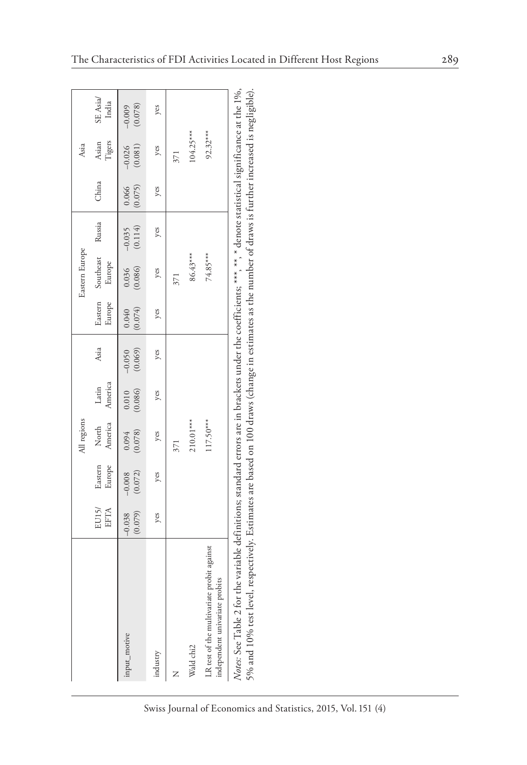|                                                                                                                                                                                                                                                                                                                           |                     |                     | All regions      |                        |                     |                  | Eastern Europe                     |                     |                  | Asia                |                     |
|---------------------------------------------------------------------------------------------------------------------------------------------------------------------------------------------------------------------------------------------------------------------------------------------------------------------------|---------------------|---------------------|------------------|------------------------|---------------------|------------------|------------------------------------|---------------------|------------------|---------------------|---------------------|
|                                                                                                                                                                                                                                                                                                                           | EU15/<br>EFTA       | Europe<br>Eastern   | America          | America<br>North Latin | Asia                | Europe           | Eastern Southeast Russia<br>Europe |                     | China            | Asian<br>Tigers     | SE Asia/<br>India   |
| input_motive                                                                                                                                                                                                                                                                                                              | (0.079)<br>$-0.038$ | (0.072)<br>$-0.008$ | (0.078)<br>0.094 | 0.010<br>(0.086)       | $-0.050$<br>(0.069) | (0.074)<br>0.040 | (0.086)<br>0.036                   | $-0.035$<br>(0.114) | (0.075)<br>0.066 | (0.081)<br>$-0.026$ | (0.078)<br>$-0.009$ |
| industry                                                                                                                                                                                                                                                                                                                  | yes                 | yes                 | yes              | yes                    | yes                 | yes              | yes                                | yes                 | yes              | yes                 | yes                 |
|                                                                                                                                                                                                                                                                                                                           |                     |                     | 371              |                        |                     |                  |                                    |                     |                  | 371                 |                     |
| Wald chi2                                                                                                                                                                                                                                                                                                                 |                     |                     | 210.01***        |                        |                     |                  | 86.43***                           |                     |                  | $104.25***$         |                     |
| LR test of the multivariate probit against<br>independent univariate probits                                                                                                                                                                                                                                              |                     |                     | $117.50***$      |                        |                     |                  | 74.85***                           |                     |                  | $92.32***$          |                     |
| Notes: See Table 2 for the variable definitions; standard errors are in brackets under the coefficients; ***, ***, * denote statistical significance at the 1%,<br>5% and 10% test level, respectively. Estimates are based on 100 draws (change in estimates as the number of draws is further increased is negligible). |                     |                     |                  |                        |                     |                  |                                    |                     |                  |                     |                     |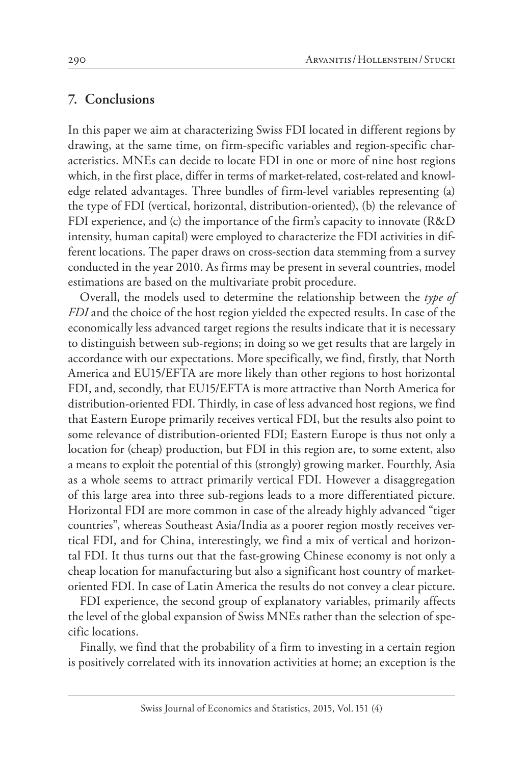#### **7. Conclusions**

In this paper we aim at characterizing Swiss FDI located in different regions by drawing, at the same time, on firm-specific variables and region-specific characteristics. MNEs can decide to locate FDI in one or more of nine host regions which, in the first place, differ in terms of market-related, cost-related and knowledge related advantages. Three bundles of firm-level variables representing (a) the type of FDI (vertical, horizontal, distribution-oriented), (b) the relevance of FDI experience, and (c) the importance of the firm's capacity to innovate (R&D intensity, human capital) were employed to characterize the FDI activities in different locations. The paper draws on cross-section data stemming from a survey conducted in the year 2010. As firms may be present in several countries, model estimations are based on the multivariate probit procedure.

Overall, the models used to determine the relationship between the *type of FDI* and the choice of the host region yielded the expected results. In case of the economically less advanced target regions the results indicate that it is necessary to distinguish between sub-regions; in doing so we get results that are largely in accordance with our expectations. More specifically, we find, firstly, that North America and EU15/EFTA are more likely than other regions to host horizontal FDI, and, secondly, that EU15/EFTA is more attractive than North America for distribution-oriented FDI. Thirdly, in case of less advanced host regions, we find that Eastern Europe primarily receives vertical FDI, but the results also point to some relevance of distribution-oriented FDI; Eastern Europe is thus not only a location for (cheap) production, but FDI in this region are, to some extent, also a means to exploit the potential of this (strongly) growing market. Fourthly, Asia as a whole seems to attract primarily vertical FDI. However a disaggregation of this large area into three sub-regions leads to a more differentiated picture. Horizontal FDI are more common in case of the already highly advanced "tiger countries", whereas Southeast Asia/India as a poorer region mostly receives vertical FDI, and for China, interestingly, we find a mix of vertical and horizontal FDI. It thus turns out that the fast-growing Chinese economy is not only a cheap location for manufacturing but also a significant host country of marketoriented FDI. In case of Latin America the results do not convey a clear picture.

FDI experience, the second group of explanatory variables, primarily affects the level of the global expansion of Swiss MNEs rather than the selection of specific locations.

Finally, we find that the probability of a firm to investing in a certain region is positively correlated with its innovation activities at home; an exception is the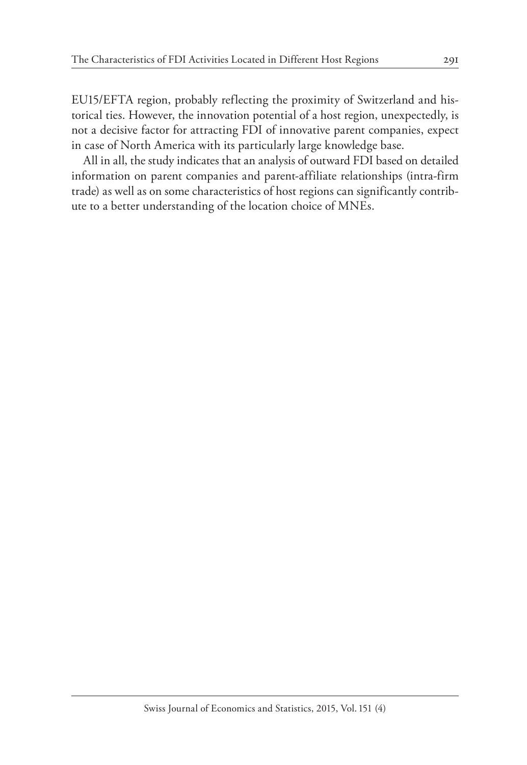EU15/EFTA region, probably reflecting the proximity of Switzerland and historical ties. However, the innovation potential of a host region, unexpectedly, is not a decisive factor for attracting FDI of innovative parent companies, expect in case of North America with its particularly large knowledge base.

All in all, the study indicates that an analysis of outward FDI based on detailed information on parent companies and parent-affiliate relationships (intra-firm trade) as well as on some characteristics of host regions can significantly contribute to a better understanding of the location choice of MNEs.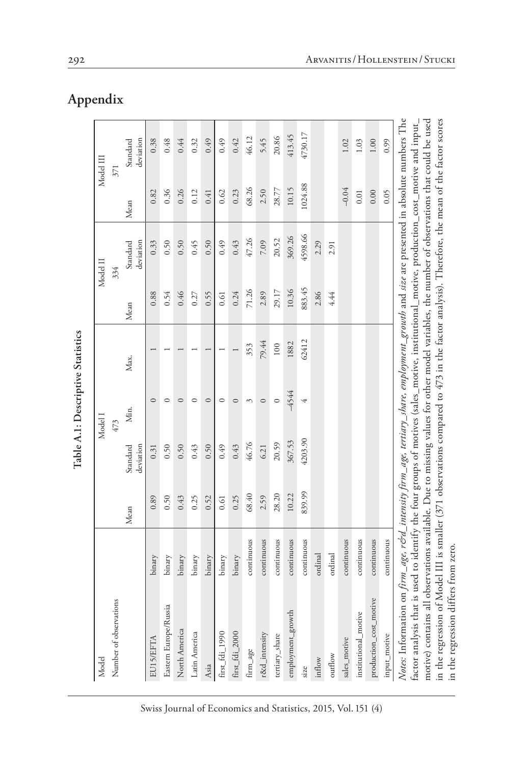|                                                                                                                                                                                                                                                                                                                                                                                                                                                                                                                                                                                        |            |        |                       |                | Table A.1: Descriptive Statistics |        |                       |         |                       |
|----------------------------------------------------------------------------------------------------------------------------------------------------------------------------------------------------------------------------------------------------------------------------------------------------------------------------------------------------------------------------------------------------------------------------------------------------------------------------------------------------------------------------------------------------------------------------------------|------------|--------|-----------------------|----------------|-----------------------------------|--------|-----------------------|---------|-----------------------|
| Model                                                                                                                                                                                                                                                                                                                                                                                                                                                                                                                                                                                  |            |        |                       | Model I        |                                   |        | Model II              |         | Model III             |
| Number of observations                                                                                                                                                                                                                                                                                                                                                                                                                                                                                                                                                                 |            |        |                       | 473            |                                   |        | 334                   |         | 371                   |
|                                                                                                                                                                                                                                                                                                                                                                                                                                                                                                                                                                                        |            | Mean   | deviation<br>Standard | Min.           | Max.                              | Mean   | Standard<br>deviation | Mean    | deviation<br>Standard |
| EU15/EFTA                                                                                                                                                                                                                                                                                                                                                                                                                                                                                                                                                                              | binary     | 0.89   | 0.31                  | $\circ$        |                                   | 0.88   | 0.33                  | 0.82    | 0.38                  |
| Eastern Europe/Russia                                                                                                                                                                                                                                                                                                                                                                                                                                                                                                                                                                  | binary     | 0.50   | 0.50                  | $\circ$        |                                   | 0.54   | 0.50                  | 0.36    | 0.48                  |
| North America                                                                                                                                                                                                                                                                                                                                                                                                                                                                                                                                                                          | binary     | 0.43   | 0.50                  | $\circ$        |                                   | 0.46   | 0.50                  | 0.26    | 0.44                  |
| Latin America                                                                                                                                                                                                                                                                                                                                                                                                                                                                                                                                                                          | binary     | 0.25   | 0.43                  | $\circ$        |                                   | 0.27   | 0.45                  | 0.12    | 0.32                  |
| Asia                                                                                                                                                                                                                                                                                                                                                                                                                                                                                                                                                                                   | binary     | 0.52   | 0.50                  | $\circ$        |                                   | 0.55   | 0.50                  | 0.41    | 0.49                  |
| $first_fdi$ 1990                                                                                                                                                                                                                                                                                                                                                                                                                                                                                                                                                                       | binary     | 0.61   | 0.49                  | $\circ$        |                                   | 0.61   | 0.49                  | 0.62    | 0.49                  |
| first_fdi_2000                                                                                                                                                                                                                                                                                                                                                                                                                                                                                                                                                                         | binary     | 0.25   | 0.43                  | $\circ$        |                                   | 0.24   | 0.43                  | 0.23    | 0.42                  |
| firm_age                                                                                                                                                                                                                                                                                                                                                                                                                                                                                                                                                                               | continuous | 68.40  | 46.76                 | 3              | 353                               | 71.26  | 47.26                 | 68.26   | 46.12                 |
| r&d_intensity                                                                                                                                                                                                                                                                                                                                                                                                                                                                                                                                                                          | continuous | 2.59   | 6.21                  | $\circ$        | 79.44                             | 2.89   | 7.09                  | 2.50    | 5.45                  |
| tertiary_share                                                                                                                                                                                                                                                                                                                                                                                                                                                                                                                                                                         | continuous | 28.20  | 20.59                 | $\circ$        | 100                               | 29.17  | 20.52                 | 28.77   | 20.86                 |
| employment_growth                                                                                                                                                                                                                                                                                                                                                                                                                                                                                                                                                                      | continuous | 10.22  | 367.53                | $-4544$        | 1882                              | 10.36  | 369.26                | 10.15   | 413.45                |
| size                                                                                                                                                                                                                                                                                                                                                                                                                                                                                                                                                                                   | continuous | 839.99 | 4203.90               | $\overline{4}$ | 62412                             | 883.45 | \$598.66              | 024.88  | £730.17               |
| inflow                                                                                                                                                                                                                                                                                                                                                                                                                                                                                                                                                                                 | ordinal    |        |                       |                |                                   | 2.86   | 2.29                  |         |                       |
| outflow                                                                                                                                                                                                                                                                                                                                                                                                                                                                                                                                                                                | ordinal    |        |                       |                |                                   | 4.44   | 2.91                  |         |                       |
| sales_motive                                                                                                                                                                                                                                                                                                                                                                                                                                                                                                                                                                           | continuous |        |                       |                |                                   |        |                       | $-0.04$ | 1.02                  |
| institutional_motive                                                                                                                                                                                                                                                                                                                                                                                                                                                                                                                                                                   | continuous |        |                       |                |                                   |        |                       | 0.01    | 1.03                  |
| production_cost_motive                                                                                                                                                                                                                                                                                                                                                                                                                                                                                                                                                                 | continuous |        |                       |                |                                   |        |                       | 0.00    | 1.00                  |
| input_motive                                                                                                                                                                                                                                                                                                                                                                                                                                                                                                                                                                           | continuous |        |                       |                |                                   |        |                       | 0.05    | 0.99                  |
| Notes: Information on firm_age, r&d_intensity firm_age, tertiary_share, employment_growth and size are presented in absolute numbers The<br>motive) contains all observations available. Due to missing values for other model variables, the number of observations that could be used<br>in the regression of Model III is smaller (371 observations compared to 473 in the factor analysis). Therefore, the mean of the factor scores<br>factor analysis that is used to identify the four groups of motives (sales_motive, institutional_motive, production_cost_motive and input_ |            |        |                       |                |                                   |        |                       |         |                       |
| in the regression differs from zero                                                                                                                                                                                                                                                                                                                                                                                                                                                                                                                                                    |            |        |                       |                |                                   |        |                       |         |                       |

# **Appendix**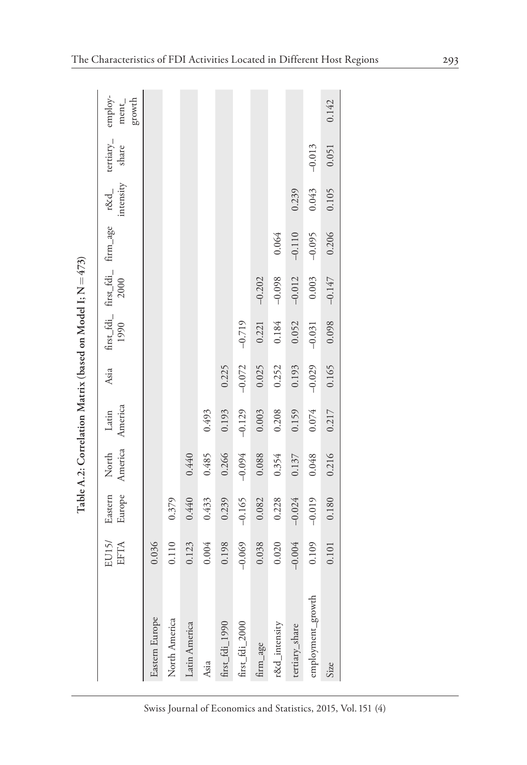|                   |                      |                   |                          |          |          |          | Table A.2: Correlation Matrix (based on Model I; N = 473) |                                     |           |                            |                 |
|-------------------|----------------------|-------------------|--------------------------|----------|----------|----------|-----------------------------------------------------------|-------------------------------------|-----------|----------------------------|-----------------|
|                   | EU15/<br><b>EFTA</b> | Europe<br>Eastern | America America<br>North | Latin    | Asia     | 1990     | 2000                                                      | first_fdi_ first_fdi_ firm_age r&d_ | intensity | tertiary_ employ-<br>share | growth<br>ment_ |
| Eastern Europe    | 0.036                |                   |                          |          |          |          |                                                           |                                     |           |                            |                 |
| North America     | 0.110                | 0.379             |                          |          |          |          |                                                           |                                     |           |                            |                 |
| Latin America     | 0.123                | 0.440             | 0.440                    |          |          |          |                                                           |                                     |           |                            |                 |
| Asia              | 0.004                | 0.433             | 0.485                    | 0.493    |          |          |                                                           |                                     |           |                            |                 |
| first_fdi_1990    | 0.198                | 0.239             | 0.266                    | 0.193    | 0.225    |          |                                                           |                                     |           |                            |                 |
| first_fdi_2000    | $-0.069$             | $-0.165$          | $-0.094$                 | $-0.129$ | $-0.072$ | $-0.719$ |                                                           |                                     |           |                            |                 |
| firm_age          | 0.038                | 0.082             | 0.088                    | 0.003    | 0.025    | 0.221    | $-0.202$                                                  |                                     |           |                            |                 |
| r&d_intensity     | 0.020                | 0.228             | 0.354                    | 0.208    | 0.252    | 0.184    | $-0.098$                                                  | 0.064                               |           |                            |                 |
| tertiary_share    | $-0.004$             | $-0.024$          | 0.137                    | 0.159    | 0.193    | 0.052    | $-0.012$                                                  | $-0.110$                            | 0.239     |                            |                 |
| employment_growth | 0.109                | $-0.019$          | 0.048                    | 0.074    | $-0.029$ | $-0.031$ | 0.003                                                     | $-0.095$                            | 0.043     | $-0.013$                   |                 |
| Size              | 0.101                | 0.180             | 0.216                    | 0.217    | 0.165    | 0.098    | $-0.147$                                                  | 0.206                               | 0.105     | 0.051                      | 0.142           |
|                   |                      |                   |                          |          |          |          |                                                           |                                     |           |                            |                 |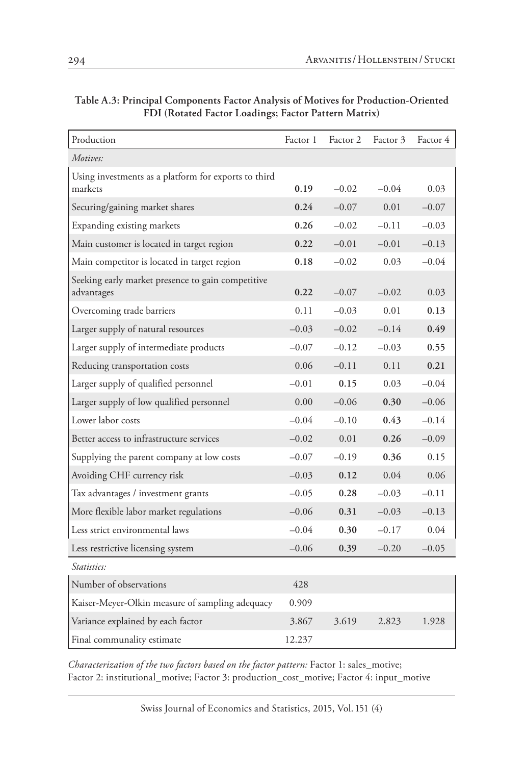| Production                                                      | Factor 1 | Factor 2 | Factor 3 | Factor 4 |
|-----------------------------------------------------------------|----------|----------|----------|----------|
| Motives:                                                        |          |          |          |          |
| Using investments as a platform for exports to third<br>markets | 0.19     | $-0.02$  | $-0.04$  | 0.03     |
| Securing/gaining market shares                                  | 0.24     | $-0.07$  | 0.01     | $-0.07$  |
| Expanding existing markets                                      | 0.26     | $-0.02$  | $-0.11$  | $-0.03$  |
| Main customer is located in target region                       | 0.22     | $-0.01$  | $-0.01$  | $-0.13$  |
| Main competitor is located in target region                     | 0.18     | $-0.02$  | 0.03     | $-0.04$  |
| Seeking early market presence to gain competitive<br>advantages | 0.22     | $-0.07$  | $-0.02$  | 0.03     |
| Overcoming trade barriers                                       | 0.11     | $-0.03$  | 0.01     | 0.13     |
| Larger supply of natural resources                              | $-0.03$  | $-0.02$  | $-0.14$  | 0.49     |
| Larger supply of intermediate products                          | $-0.07$  | $-0.12$  | $-0.03$  | 0.55     |
| Reducing transportation costs                                   | 0.06     | $-0.11$  | 0.11     | 0.21     |
| Larger supply of qualified personnel                            | $-0.01$  | 0.15     | 0.03     | $-0.04$  |
| Larger supply of low qualified personnel                        | 0.00     | $-0.06$  | 0.30     | $-0.06$  |
| Lower labor costs                                               | $-0.04$  | $-0.10$  | 0.43     | $-0.14$  |
| Better access to infrastructure services                        | $-0.02$  | 0.01     | 0.26     | $-0.09$  |
| Supplying the parent company at low costs                       | $-0.07$  | $-0.19$  | 0.36     | 0.15     |
| Avoiding CHF currency risk                                      | $-0.03$  | 0.12     | 0.04     | 0.06     |
| Tax advantages / investment grants                              | $-0.05$  | 0.28     | $-0.03$  | $-0.11$  |
| More flexible labor market regulations                          | $-0.06$  | 0.31     | $-0.03$  | $-0.13$  |
| Less strict environmental laws                                  | $-0.04$  | 0.30     | $-0.17$  | 0.04     |
| Less restrictive licensing system                               | $-0.06$  | 0.39     | $-0.20$  | $-0.05$  |
| <i>Statistics:</i>                                              |          |          |          |          |
| Number of observations                                          | 428      |          |          |          |
| Kaiser-Meyer-Olkin measure of sampling adequacy                 | 0.909    |          |          |          |
| Variance explained by each factor                               | 3.867    | 3.619    | 2.823    | 1.928    |
| Final communality estimate                                      | 12.237   |          |          |          |

**Table A.3: Principal Components Factor Analysis of Motives for Production-Oriented FDI (Rotated Factor Loadings; Factor Pattern Matrix)**

*Characterization of the two factors based on the factor pattern:* Factor 1: sales\_motive; Factor 2: institutional\_motive; Factor 3: production\_cost\_motive; Factor 4: input\_motive

Swiss Journal of Economics and Statistics, 2015, Vol. 151 (4)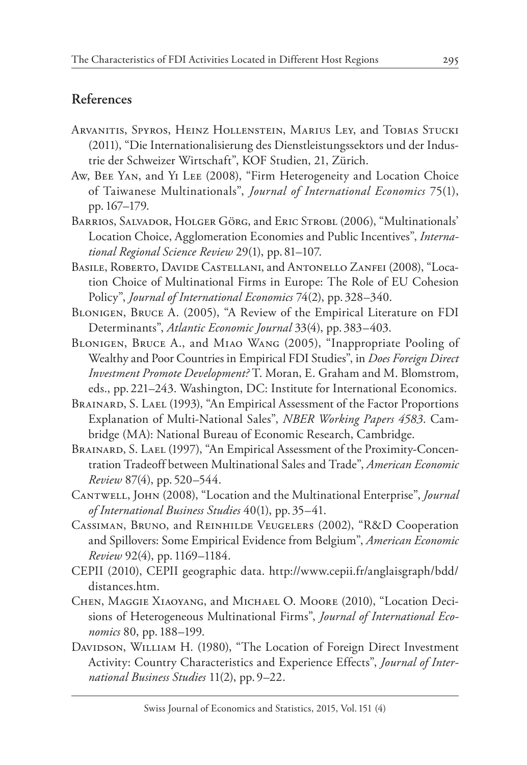# **References**

- Arvanitis, Spyros, Heinz Hollenstein, Marius Ley, and Tobias Stucki (2011), "Die Internationalisierung des Dienstleistungssektors und der Industrie der Schweizer Wirtschaft", KOF Studien, 21, Zürich.
- Aw, Bee Yan, and Yi Lee (2008), "Firm Heterogeneity and Location Choice of Taiwanese Multinationals", *Journal of International Economics* 75(1), pp. 167–179.
- BARRIOS, SALVADOR, HOLGER GÖRG, and ERIC STROBL (2006), "Multinationals' Location Choice, Agglomeration Economies and Public Incentives", *International Regional Science Review* 29(1), pp. 81–107.
- Basile, Roberto, Davide Castellani, and Antonello Zanfei (2008), "Location Choice of Multinational Firms in Europe: The Role of EU Cohesion Policy", *Journal of International Economics* 74(2), pp. 328–340.
- Blonigen, Bruce A. (2005), "A Review of the Empirical Literature on FDI Determinants", *Atlantic Economic Journal* 33(4), pp. 383–403.
- Blonigen, Bruce A., and Miao Wang (2005), "Inappropriate Pooling of Wealthy and Poor Countries in Empirical FDI Studies", in *Does Foreign Direct Investment Promote Development?* T. Moran, E. Graham and M. Blomstrom, eds., pp. 221–243. Washington, DC: Institute for International Economics.
- BRAINARD, S. LAEL (1993), "An Empirical Assessment of the Factor Proportions Explanation of Multi-National Sales", *NBER Working Papers 4583*. Cambridge (MA): National Bureau of Economic Research, Cambridge.
- BRAINARD, S. LAEL (1997), "An Empirical Assessment of the Proximity-Concentration Tradeoff between Multinational Sales and Trade", *American Economic Review* 87(4), pp. 520–544.
- Cantwell, John (2008), "Location and the Multinational Enterprise", *Journal of International Business Studies* 40(1), pp. 35–41.
- Cassiman, Bruno, and Reinhilde Veugelers (2002), "R&D Cooperation and Spillovers: Some Empirical Evidence from Belgium", *American Economic Review* 92(4), pp. 1169–1184.
- CEPII (2010), CEPII geographic data. [http://www.cepii.fr/anglaisgraph/bdd/](http://www.cepii.fr/anglaisgraph/bdd/distances.htm) [distances.htm.](http://www.cepii.fr/anglaisgraph/bdd/distances.htm)
- Chen, Maggie Xiaoyang, and Michael O. Moore (2010), "Location Decisions of Heterogeneous Multinational Firms", *Journal of International Economics* 80, pp. 188–199.
- DAVIDSON, WILLIAM H. (1980), "The Location of Foreign Direct Investment Activity: Country Characteristics and Experience Effects", *Journal of International Business Studies* 11(2), pp. 9–22.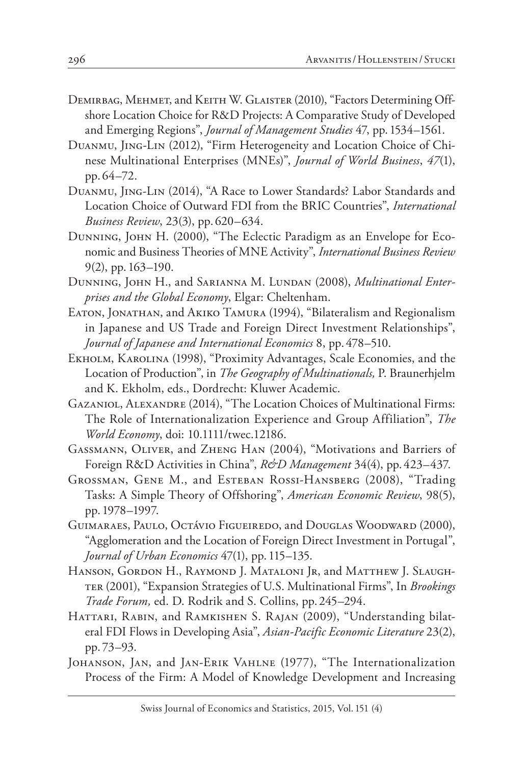- Demirbag, Mehmet, and Keith W. Glaister (2010), "Factors Determining Offshore Location Choice for R&D Projects: A Comparative Study of Developed and Emerging Regions", *Journal of Management Studies* 47, pp. 1534–1561.
- Duanmu, Jing-Lin (2012), "Firm Heterogeneity and Location Choice of Chinese Multinational Enterprises (MNEs)", *Journal of World Business*, *47*(1), pp. 64–72.
- Duanmu, Jing-Lin (2014), "A Race to Lower Standards? Labor Standards and Location Choice of Outward FDI from the BRIC Countries", *International Business Review*, 23(3), pp. 620–634.
- Dunning, John H. (2000), "The Eclectic Paradigm as an Envelope for Economic and Business Theories of MNE Activity", *International Business Review* 9(2), pp. 163–190.
- Dunning, John H., and Sarianna M. Lundan (2008), *Multinational Enterprises and the Global Economy*, Elgar: Cheltenham.
- Eaton, Jonathan, and Akiko Tamura (1994), "Bilateralism and Regionalism in Japanese and US Trade and Foreign Direct Investment Relationships", *Journal of Japanese and International Economics* 8, pp. 478–510.
- Ekholm, Karolina (1998), "Proximity Advantages, Scale Economies, and the Location of Production", in *The Geography of Multinationals,* P. Braunerhjelm and K. Ekholm, eds., Dordrecht: Kluwer Academic.
- GAZANIOL, ALEXANDRE (2014), "The Location Choices of Multinational Firms: The Role of Internationalization Experience and Group Affiliation", *The World Economy*, doi: 10.1111/twec.12186.
- Gassmann, Oliver, and Zheng Han (2004), "Motivations and Barriers of Foreign R&D Activities in China", *R&D Management* 34(4), pp. 423–437.
- Grossman, Gene M., and Esteban Rossi-Hansberg (2008), "Trading Tasks: A Simple Theory of Offshoring", *American Economic Review*, 98(5), pp. 1978–1997.
- Guimaraes, Paulo, Octávio Figueiredo, and Douglas Woodward (2000), "Agglomeration and the Location of Foreign Direct Investment in Portugal", *Journal of Urban Economics* 47(1), pp. 115–135.
- Hanson, Gordon H., Raymond J. Mataloni Jr, and Matthew J. Slaughter (2001), "Expansion Strategies of U.S. Multinational Firms", In *Brookings Trade Forum,* ed. D. Rodrik and S. Collins, pp. 245–294.
- HATTARI, RABIN, and RAMKISHEN S. RAJAN (2009), "Understanding bilateral FDI Flows in Developing Asia", *Asian-Pacific Economic Literature* 23(2), pp. 73–93.
- Johanson, Jan, and Jan-Erik Vahlne (1977), "The Internationalization Process of the Firm: A Model of Knowledge Development and Increasing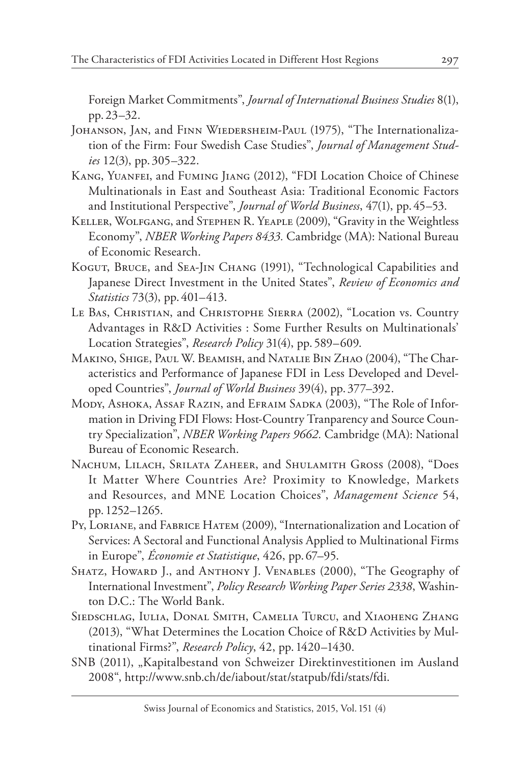Foreign Market Commitments", *Journal of International Business Studies* 8(1), pp. 23–32.

- Johanson, Jan, and Finn Wiedersheim‐Paul (1975), "The Internationalization of the Firm: Four Swedish Case Studies", *Journal of Management Studies* 12(3), pp. 305–322.
- Kang, Yuanfei, and Fuming Jiang (2012), "FDI Location Choice of Chinese Multinationals in East and Southeast Asia: Traditional Economic Factors and Institutional Perspective", *Journal of World Business*, 47(1), pp. 45–53.
- Keller, Wolfgang, and Stephen R. Yeaple (2009), "Gravity in the Weightless Economy", *NBER Working Papers 8433.* Cambridge (MA): National Bureau of Economic Research.
- KOGUT, BRUCE, and SEA-JIN CHANG (1991), "Technological Capabilities and Japanese Direct Investment in the United States", *Review of Economics and Statistics* 73(3), pp. 401–413.
- Le Bas, Christian, and Christophe Sierra (2002), "Location vs. Country Advantages in R&D Activities : Some Further Results on Multinationals' Location Strategies", *Research Policy* 31(4), pp. 589–609.
- Makino, Shige, Paul W. Beamish, and Natalie Bin Zhao (2004), "The Characteristics and Performance of Japanese FDI in Less Developed and Developed Countries", *Journal of World Business* 39(4), pp. 377–392.
- Mody, Ashoka, Assaf Razin, and Efraim Sadka (2003), "The Role of Information in Driving FDI Flows: Host-Country Tranparency and Source Country Specialization", *NBER Working Papers 9662.* Cambridge (MA): National Bureau of Economic Research.
- Nachum, Lilach, Srilata Zaheer, and Shulamith Gross (2008), "Does It Matter Where Countries Are? Proximity to Knowledge, Markets and Resources, and MNE Location Choices", *Management Science* 54, pp. 1252–1265.
- Py, Loriane, and Fabrice Hatem (2009), "Internationalization and Location of Services: A Sectoral and Functional Analysis Applied to Multinational Firms in Europe", *Économie et Statistique*, 426, pp. 67–95.
- SHATZ, HOWARD J., and ANTHONY J. VENABLES (2000), "The Geography of International Investment", *Policy Research Working Paper Series 2338*, Washinton D.C.: The World Bank.
- Siedschlag, Iulia, Donal Smith, Camelia Turcu, and Xiaoheng Zhang (2013), "What Determines the Location Choice of R&D Activities by Multinational Firms?", *Research Policy*, 42, pp. 1420–1430.
- SNB (2011), "Kapitalbestand von Schweizer Direktinvestitionen im Ausland 2008", [http://www.snb.ch/de/iabout/stat/statpub/fdi/stats/fdi.](http://www.snb.ch/de/iabout/stat/statpub/fdi/stats/fdi)